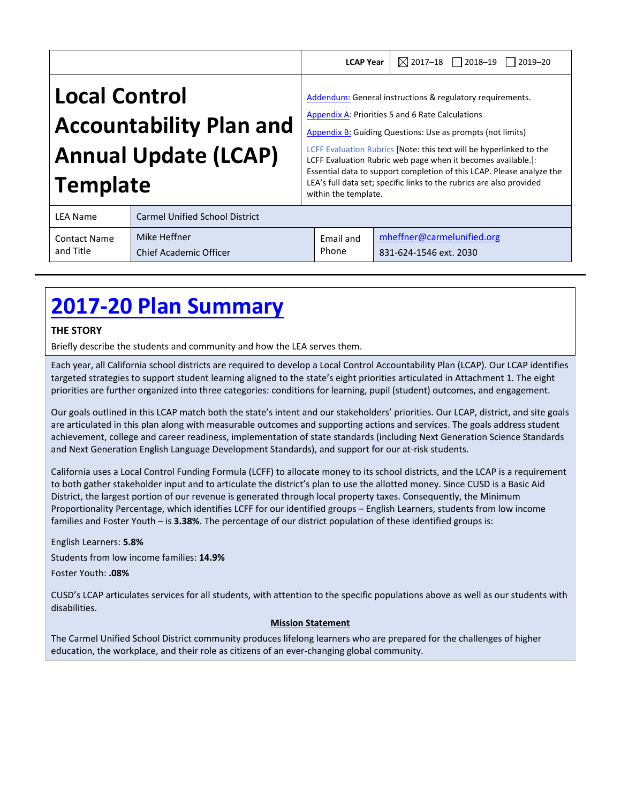|                                                        |                                       | <b>LCAP Year</b>                                                                                                                                                                   | $\boxtimes$ 2017-18 $\Box$ 2018-19 $\Box$ 2019-20                                                                                                                                                                                                                                    |
|--------------------------------------------------------|---------------------------------------|------------------------------------------------------------------------------------------------------------------------------------------------------------------------------------|--------------------------------------------------------------------------------------------------------------------------------------------------------------------------------------------------------------------------------------------------------------------------------------|
| <b>Local Control</b><br><b>Accountability Plan and</b> |                                       | Addendum: General instructions & regulatory requirements.<br>Appendix A: Priorities 5 and 6 Rate Calculations<br><b>Appendix B: Guiding Questions: Use as prompts (not limits)</b> |                                                                                                                                                                                                                                                                                      |
| <b>Annual Update (LCAP)</b><br><b>Template</b>         |                                       | within the template.                                                                                                                                                               | LCFF Evaluation Rubrics [Note: this text will be hyperlinked to the<br>LCFF Evaluation Rubric web page when it becomes available.]:<br>Essential data to support completion of this LCAP. Please analyze the<br>LEA's full data set; specific links to the rubrics are also provided |
| <b>LEA Name</b>                                        | <b>Carmel Unified School District</b> |                                                                                                                                                                                    |                                                                                                                                                                                                                                                                                      |
|                                                        |                                       |                                                                                                                                                                                    |                                                                                                                                                                                                                                                                                      |

| <b>Contact Name</b> | Mike Heffner                  | Email and | mheffner@carmelunified.org |
|---------------------|-------------------------------|-----------|----------------------------|
| and Title           | <b>Chief Academic Officer</b> | Phone     | 831-624-1546 ext. 2030     |
|                     |                               |           |                            |

# **2017‐20 Plan Summary**

# **THE STORY**

Briefly describe the students and community and how the LEA serves them.

Each year, all California school districts are required to develop a Local Control Accountability Plan (LCAP). Our LCAP identifies targeted strategies to support student learning aligned to the state's eight priorities articulated in Attachment 1. The eight priorities are further organized into three categories: conditions for learning, pupil (student) outcomes, and engagement.

Our goals outlined in this LCAP match both the state's intent and our stakeholders' priorities. Our LCAP, district, and site goals are articulated in this plan along with measurable outcomes and supporting actions and services. The goals address student achievement, college and career readiness, implementation of state standards (including Next Generation Science Standards and Next Generation English Language Development Standards), and support for our at‐risk students.

California uses a Local Control Funding Formula (LCFF) to allocate money to its school districts, and the LCAP is a requirement to both gather stakeholder input and to articulate the district's plan to use the allotted money. Since CUSD is a Basic Aid District, the largest portion of our revenue is generated through local property taxes. Consequently, the Minimum Proportionality Percentage, which identifies LCFF for our identified groups – English Learners, students from low income families and Foster Youth – is **3.38%**. The percentage of our district population of these identified groups is:

English Learners: **5.8%** Students from low income families: **14.9%**

Foster Youth: **.08%**

CUSD's LCAP articulates services for all students, with attention to the specific populations above as well as our students with disabilities.

# **Mission Statement**

The Carmel Unified School District community produces lifelong learners who are prepared for the challenges of higher education, the workplace, and their role as citizens of an ever‐changing global community.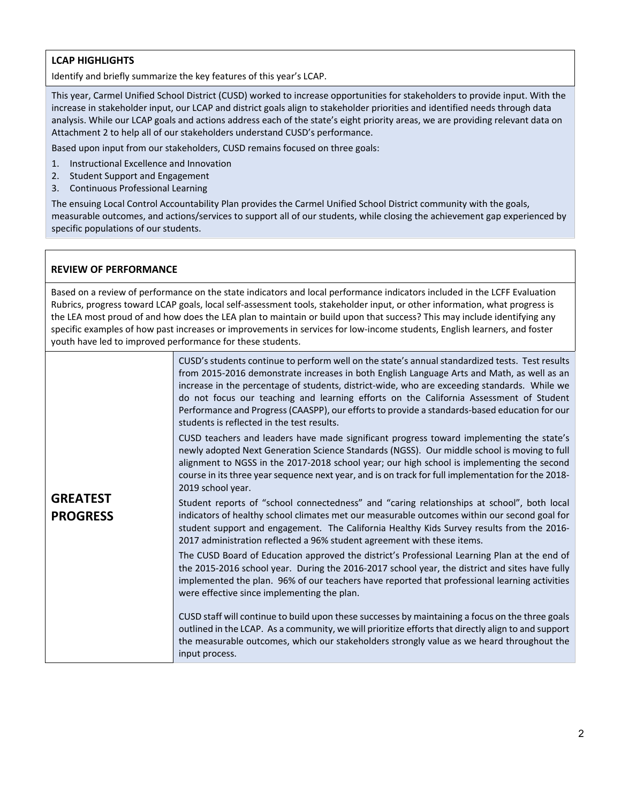# **LCAP HIGHLIGHTS**

Identify and briefly summarize the key features of this year's LCAP.

This year, Carmel Unified School District (CUSD) worked to increase opportunities for stakeholders to provide input. With the increase in stakeholder input, our LCAP and district goals align to stakeholder priorities and identified needs through data analysis. While our LCAP goals and actions address each of the state's eight priority areas, we are providing relevant data on Attachment 2 to help all of our stakeholders understand CUSD's performance.

Based upon input from our stakeholders, CUSD remains focused on three goals:

- 1. Instructional Excellence and Innovation
- 2. Student Support and Engagement
- 3. Continuous Professional Learning

The ensuing Local Control Accountability Plan provides the Carmel Unified School District community with the goals, measurable outcomes, and actions/services to support all of our students, while closing the achievement gap experienced by specific populations of our students.

# **REVIEW OF PERFORMANCE**

Based on a review of performance on the state indicators and local performance indicators included in the LCFF Evaluation Rubrics, progress toward LCAP goals, local self‐assessment tools, stakeholder input, or other information, what progress is the LEA most proud of and how does the LEA plan to maintain or build upon that success? This may include identifying any specific examples of how past increases or improvements in services for low-income students, English learners, and foster youth have led to improved performance for these students.

|                                    | CUSD's students continue to perform well on the state's annual standardized tests. Test results<br>from 2015-2016 demonstrate increases in both English Language Arts and Math, as well as an<br>increase in the percentage of students, district-wide, who are exceeding standards. While we<br>do not focus our teaching and learning efforts on the California Assessment of Student<br>Performance and Progress (CAASPP), our efforts to provide a standards-based education for our<br>students is reflected in the test results. |
|------------------------------------|----------------------------------------------------------------------------------------------------------------------------------------------------------------------------------------------------------------------------------------------------------------------------------------------------------------------------------------------------------------------------------------------------------------------------------------------------------------------------------------------------------------------------------------|
|                                    | CUSD teachers and leaders have made significant progress toward implementing the state's<br>newly adopted Next Generation Science Standards (NGSS). Our middle school is moving to full<br>alignment to NGSS in the 2017-2018 school year; our high school is implementing the second<br>course in its three year sequence next year, and is on track for full implementation for the 2018-<br>2019 school year.                                                                                                                       |
| <b>GREATEST</b><br><b>PROGRESS</b> | Student reports of "school connectedness" and "caring relationships at school", both local<br>indicators of healthy school climates met our measurable outcomes within our second goal for<br>student support and engagement. The California Healthy Kids Survey results from the 2016-<br>2017 administration reflected a 96% student agreement with these items.                                                                                                                                                                     |
|                                    | The CUSD Board of Education approved the district's Professional Learning Plan at the end of<br>the 2015-2016 school year. During the 2016-2017 school year, the district and sites have fully<br>implemented the plan. 96% of our teachers have reported that professional learning activities<br>were effective since implementing the plan.                                                                                                                                                                                         |
|                                    | CUSD staff will continue to build upon these successes by maintaining a focus on the three goals<br>outlined in the LCAP. As a community, we will prioritize efforts that directly align to and support<br>the measurable outcomes, which our stakeholders strongly value as we heard throughout the<br>input process.                                                                                                                                                                                                                 |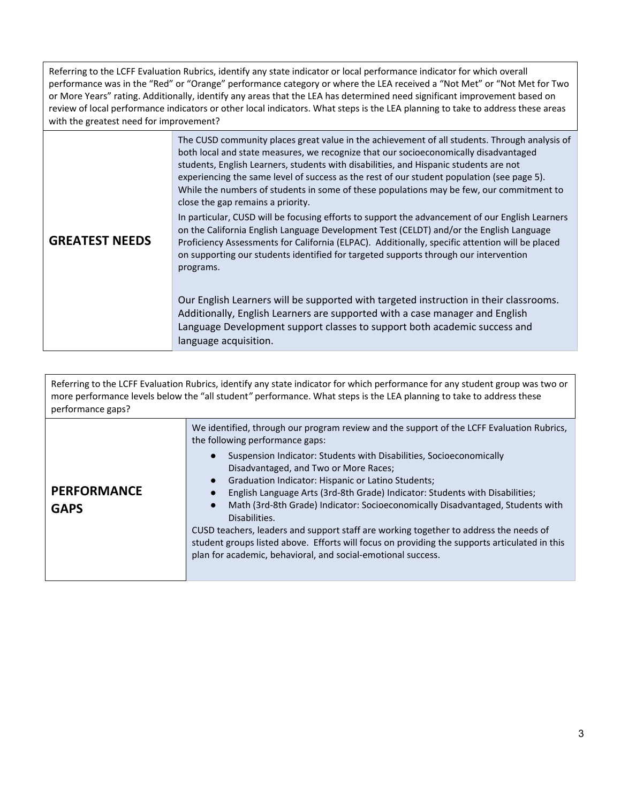Referring to the LCFF Evaluation Rubrics, identify any state indicator or local performance indicator for which overall performance was in the "Red" or "Orange" performance category or where the LEA received a "Not Met" or "Not Met for Two or More Years" rating. Additionally, identify any areas that the LEA has determined need significant improvement based on review of local performance indicators or other local indicators. What steps is the LEA planning to take to address these areas with the greatest need for improvement?

|                       | The CUSD community places great value in the achievement of all students. Through analysis of<br>both local and state measures, we recognize that our socioeconomically disadvantaged<br>students, English Learners, students with disabilities, and Hispanic students are not<br>experiencing the same level of success as the rest of our student population (see page 5).<br>While the numbers of students in some of these populations may be few, our commitment to<br>close the gap remains a priority. |
|-----------------------|---------------------------------------------------------------------------------------------------------------------------------------------------------------------------------------------------------------------------------------------------------------------------------------------------------------------------------------------------------------------------------------------------------------------------------------------------------------------------------------------------------------|
| <b>GREATEST NEEDS</b> | In particular, CUSD will be focusing efforts to support the advancement of our English Learners<br>on the California English Language Development Test (CELDT) and/or the English Language<br>Proficiency Assessments for California (ELPAC). Additionally, specific attention will be placed<br>on supporting our students identified for targeted supports through our intervention<br>programs.                                                                                                            |
|                       | Our English Learners will be supported with targeted instruction in their classrooms.<br>Additionally, English Learners are supported with a case manager and English<br>Language Development support classes to support both academic success and<br>language acquisition.                                                                                                                                                                                                                                   |

Referring to the LCFF Evaluation Rubrics, identify any state indicator for which performance for any student group was two or more performance levels below the "all student*"* performance. What steps is the LEA planning to take to address these performance gaps?

| <b>PERFORMANCE</b><br><b>GAPS</b> | We identified, through our program review and the support of the LCFF Evaluation Rubrics,<br>the following performance gaps:<br>Suspension Indicator: Students with Disabilities, Socioeconomically<br>$\bullet$<br>Disadvantaged, and Two or More Races;<br>Graduation Indicator: Hispanic or Latino Students;<br>English Language Arts (3rd-8th Grade) Indicator: Students with Disabilities;<br>Math (3rd-8th Grade) Indicator: Socioeconomically Disadvantaged, Students with<br>Disabilities.<br>CUSD teachers, leaders and support staff are working together to address the needs of<br>student groups listed above. Efforts will focus on providing the supports articulated in this |
|-----------------------------------|----------------------------------------------------------------------------------------------------------------------------------------------------------------------------------------------------------------------------------------------------------------------------------------------------------------------------------------------------------------------------------------------------------------------------------------------------------------------------------------------------------------------------------------------------------------------------------------------------------------------------------------------------------------------------------------------|
|                                   | plan for academic, behavioral, and social-emotional success.                                                                                                                                                                                                                                                                                                                                                                                                                                                                                                                                                                                                                                 |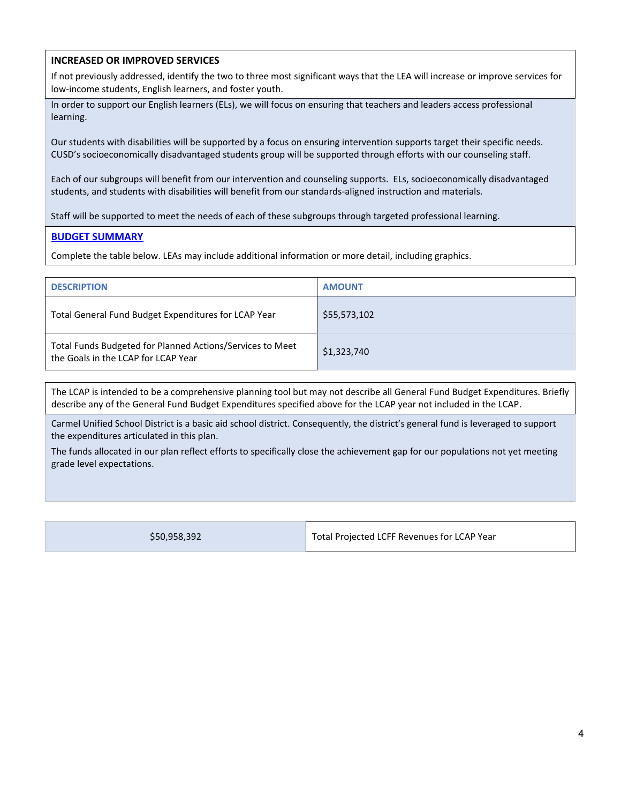# **INCREASED OR IMPROVED SERVICES**

If not previously addressed, identify the two to three most significant ways that the LEA will increase or improve services for low‐income students, English learners, and foster youth.

In order to support our English learners (ELs), we will focus on ensuring that teachers and leaders access professional learning.

Our students with disabilities will be supported by a focus on ensuring intervention supports target their specific needs. CUSD's socioeconomically disadvantaged students group will be supported through efforts with our counseling staff.

Each of our subgroups will benefit from our intervention and counseling supports. ELs, socioeconomically disadvantaged students, and students with disabilities will benefit from our standards‐aligned instruction and materials.

Staff will be supported to meet the needs of each of these subgroups through targeted professional learning.

### **BUDGET SUMMARY**

Complete the table below. LEAs may include additional information or more detail, including graphics.

| <b>DESCRIPTION</b>                                                                               | <b>AMOUNT</b> |
|--------------------------------------------------------------------------------------------------|---------------|
| Total General Fund Budget Expenditures for LCAP Year                                             | \$55,573,102  |
| Total Funds Budgeted for Planned Actions/Services to Meet<br>the Goals in the LCAP for LCAP Year | \$1,323,740   |

The LCAP is intended to be a comprehensive planning tool but may not describe all General Fund Budget Expenditures. Briefly describe any of the General Fund Budget Expenditures specified above for the LCAP year not included in the LCAP.

Carmel Unified School District is a basic aid school district. Consequently, the district's general fund is leveraged to support the expenditures articulated in this plan.

The funds allocated in our plan reflect efforts to specifically close the achievement gap for our populations not yet meeting grade level expectations.

| \$50,958,392 |
|--------------|
|--------------|

Total Projected LCFF Revenues for LCAP Year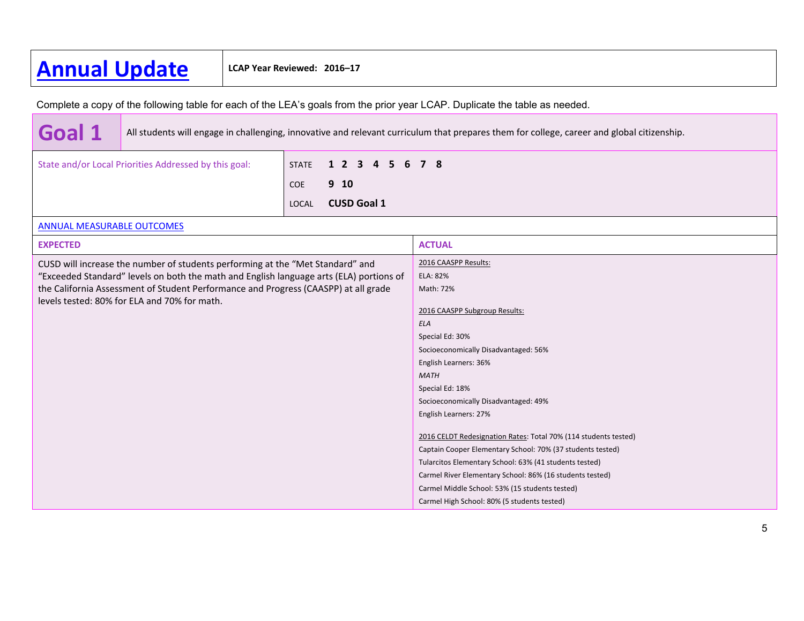# **Annual Update LCAP Year Reviewed: 2016–17**

Complete a copy of the following table for each of the LEA's goals from the prior year LCAP. Duplicate the table as needed.

**Goal 1** All students will engage in challenging, innovative and relevant curriculum that prepares them for college, career and global citizenship. State and/or Local Priorities Addressed by this goal: STATE **1 2 3 4 5 6 7 8** COE **9 10** LOCAL **CUSD Goal 1** ANNUAL MEASURABLE OUTCOMES **EXPECTEDD** ACTUAL CUSD will increase the number of students performing at the "Met Standard" and "Exceeded Standard" levels on both the math and English language arts (ELA) portions of the California Assessment of Student Performance and Progress (CAASPP) at all grade levels tested: 80% for ELA and 70% for math. 2016 CAASPP Results: ELA: 82%Math: 72%2016 CAASPP Subgroup Results: *ELA*Special Ed: 30% Socioeconomically Disadvantaged: 56% English Learners: 36% *MATH*Special Ed: 18% Socioeconomically Disadvantaged: 49% English Learners: 27% 2016 CELDT Redesignation Rates: Total 70% (114 students tested) Captain Cooper Elementary School: 70% (37 students tested) Tularcitos Elementary School: 63% (41 students tested) Carmel River Elementary School: 86% (16 students tested) Carmel Middle School: 53% (15 students tested) Carmel High School: 80% (5 students tested)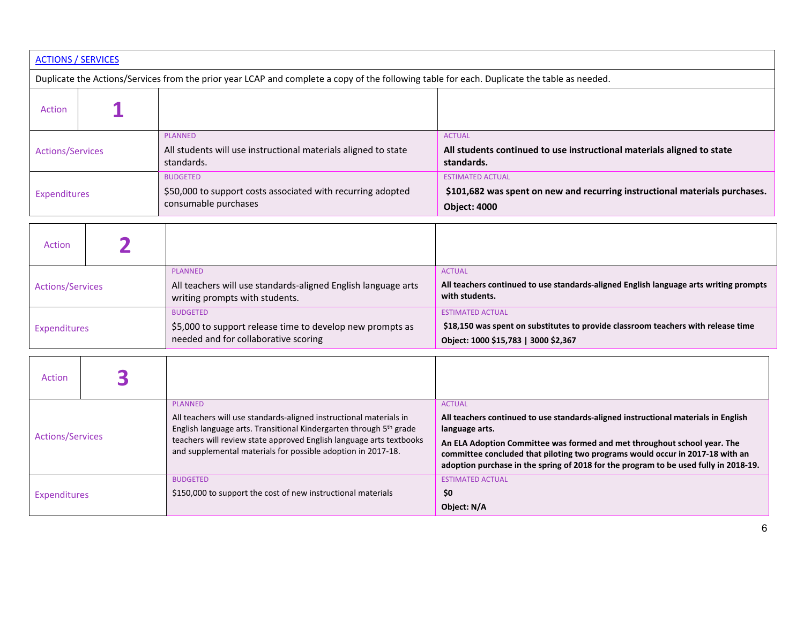| <b>ACTIONS / SERVICES</b>                                                                                                                   |                                                                                                                                                                                                                                                                                                               |                                                                                                                                                                                                                                                                                                                                                                            |  |  |
|---------------------------------------------------------------------------------------------------------------------------------------------|---------------------------------------------------------------------------------------------------------------------------------------------------------------------------------------------------------------------------------------------------------------------------------------------------------------|----------------------------------------------------------------------------------------------------------------------------------------------------------------------------------------------------------------------------------------------------------------------------------------------------------------------------------------------------------------------------|--|--|
| Duplicate the Actions/Services from the prior year LCAP and complete a copy of the following table for each. Duplicate the table as needed. |                                                                                                                                                                                                                                                                                                               |                                                                                                                                                                                                                                                                                                                                                                            |  |  |
| <b>Action</b>                                                                                                                               |                                                                                                                                                                                                                                                                                                               |                                                                                                                                                                                                                                                                                                                                                                            |  |  |
| <b>Actions/Services</b>                                                                                                                     | <b>PLANNED</b><br>All students will use instructional materials aligned to state<br>standards.                                                                                                                                                                                                                | <b>ACTUAL</b><br>All students continued to use instructional materials aligned to state<br>standards.                                                                                                                                                                                                                                                                      |  |  |
| Expenditures                                                                                                                                | <b>BUDGETED</b><br>\$50,000 to support costs associated with recurring adopted<br>consumable purchases                                                                                                                                                                                                        | <b>ESTIMATED ACTUAL</b><br>\$101,682 was spent on new and recurring instructional materials purchases.<br><b>Object: 4000</b>                                                                                                                                                                                                                                              |  |  |
| Action                                                                                                                                      |                                                                                                                                                                                                                                                                                                               |                                                                                                                                                                                                                                                                                                                                                                            |  |  |
| <b>Actions/Services</b>                                                                                                                     | <b>PLANNED</b><br>All teachers will use standards-aligned English language arts<br>writing prompts with students.                                                                                                                                                                                             | <b>ACTUAL</b><br>All teachers continued to use standards-aligned English language arts writing prompts<br>with students.                                                                                                                                                                                                                                                   |  |  |
| Expenditures                                                                                                                                | <b>BUDGETED</b><br>\$5,000 to support release time to develop new prompts as<br>needed and for collaborative scoring                                                                                                                                                                                          | <b>ESTIMATED ACTUAL</b><br>\$18,150 was spent on substitutes to provide classroom teachers with release time<br>Object: 1000 \$15,783   3000 \$2,367                                                                                                                                                                                                                       |  |  |
| 3<br>Action                                                                                                                                 |                                                                                                                                                                                                                                                                                                               |                                                                                                                                                                                                                                                                                                                                                                            |  |  |
| <b>Actions/Services</b>                                                                                                                     | <b>PLANNED</b><br>All teachers will use standards-aligned instructional materials in<br>English language arts. Transitional Kindergarten through 5 <sup>th</sup> grade<br>teachers will review state approved English language arts textbooks<br>and supplemental materials for possible adoption in 2017-18. | <b>ACTUAL</b><br>All teachers continued to use standards-aligned instructional materials in English<br>language arts.<br>An ELA Adoption Committee was formed and met throughout school year. The<br>committee concluded that piloting two programs would occur in 2017-18 with an<br>adoption purchase in the spring of 2018 for the program to be used fully in 2018-19. |  |  |
| <b>Expenditures</b>                                                                                                                         | <b>BUDGETED</b><br>\$150,000 to support the cost of new instructional materials                                                                                                                                                                                                                               | <b>ESTIMATED ACTUAL</b><br>\$0<br>Object: N/A                                                                                                                                                                                                                                                                                                                              |  |  |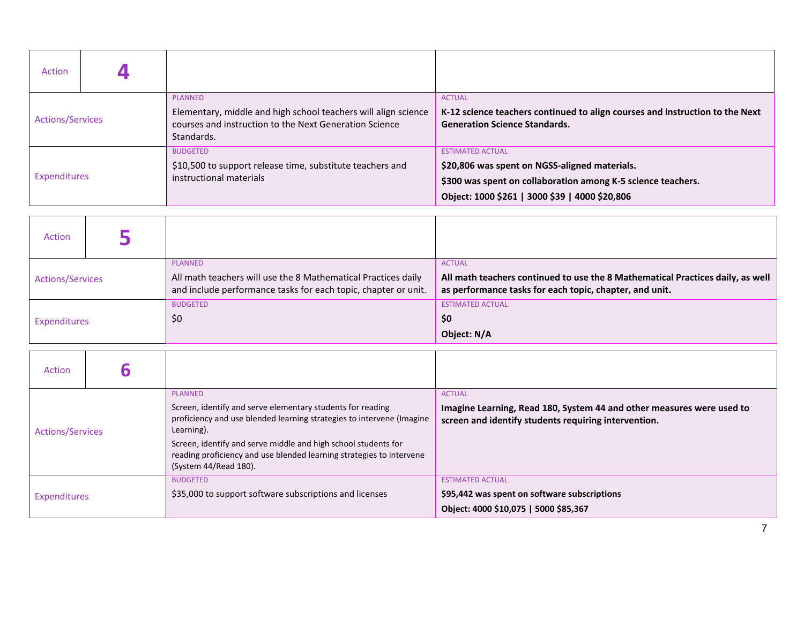| <b>Action</b>           |                                                                                                                                                          |                                                                                                                                                                                            |
|-------------------------|----------------------------------------------------------------------------------------------------------------------------------------------------------|--------------------------------------------------------------------------------------------------------------------------------------------------------------------------------------------|
| <b>Actions/Services</b> | <b>PLANNED</b><br>Elementary, middle and high school teachers will align science<br>courses and instruction to the Next Generation Science<br>Standards. | <b>ACTUAL</b><br>K-12 science teachers continued to align courses and instruction to the Next<br><b>Generation Science Standards.</b>                                                      |
| Expenditures            | <b>BUDGETED</b><br>\$10,500 to support release time, substitute teachers and<br>instructional materials                                                  | <b>ESTIMATED ACTUAL</b><br>\$20,806 was spent on NGSS-aligned materials.<br>\$300 was spent on collaboration among K-5 science teachers.<br>Object: 1000 \$261   3000 \$39   4000 \$20,806 |

| Action                  |                                                                                                                                 |                                                                                                                                           |
|-------------------------|---------------------------------------------------------------------------------------------------------------------------------|-------------------------------------------------------------------------------------------------------------------------------------------|
|                         | <b>PLANNED</b>                                                                                                                  | <b>ACTUAL</b>                                                                                                                             |
| <b>Actions/Services</b> | All math teachers will use the 8 Mathematical Practices daily<br>and include performance tasks for each topic, chapter or unit. | All math teachers continued to use the 8 Mathematical Practices daily, as well<br>as performance tasks for each topic, chapter, and unit. |
|                         | <b>BUDGETED</b>                                                                                                                 | <b>ESTIMATED ACTUAL</b>                                                                                                                   |
| Expenditures            | \$0                                                                                                                             | \$0                                                                                                                                       |
|                         |                                                                                                                                 | Object: N/A                                                                                                                               |

| Action                  |                                                                                                                                                                                                                                                                                                                                 |                                                                                                                                                |
|-------------------------|---------------------------------------------------------------------------------------------------------------------------------------------------------------------------------------------------------------------------------------------------------------------------------------------------------------------------------|------------------------------------------------------------------------------------------------------------------------------------------------|
| <b>Actions/Services</b> | PLANNED<br>Screen, identify and serve elementary students for reading<br>proficiency and use blended learning strategies to intervene (Imagine<br>Learning).<br>Screen, identify and serve middle and high school students for<br>reading proficiency and use blended learning strategies to intervene<br>(System 44/Read 180). | <b>ACTUAL</b><br>Imagine Learning, Read 180, System 44 and other measures were used to<br>screen and identify students requiring intervention. |
| Expenditures            | <b>BUDGETED</b><br>\$35,000 to support software subscriptions and licenses                                                                                                                                                                                                                                                      | <b>ESTIMATED ACTUAL</b><br>\$95,442 was spent on software subscriptions<br>Object: 4000 \$10,075   5000 \$85,367                               |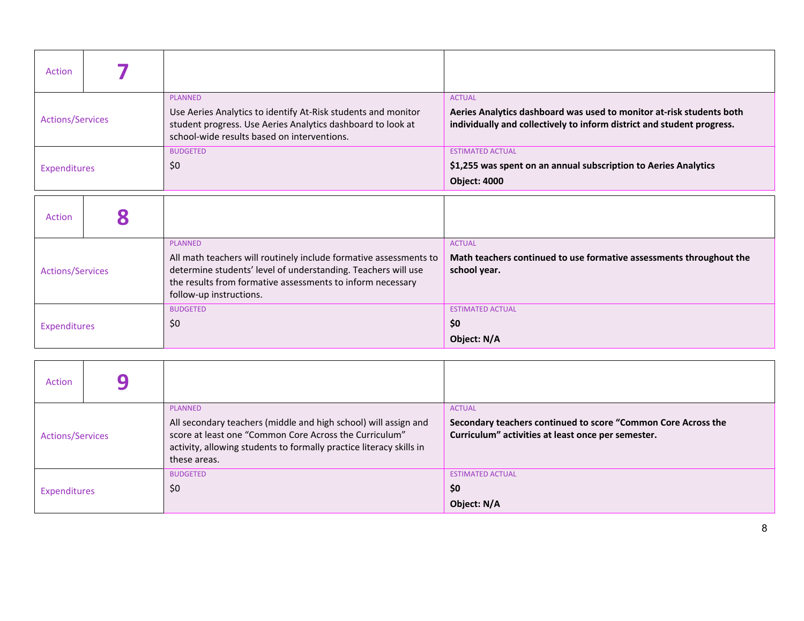| Action                  |                                                                                                                                                                                                                                               |                                                                                                                                                                 |
|-------------------------|-----------------------------------------------------------------------------------------------------------------------------------------------------------------------------------------------------------------------------------------------|-----------------------------------------------------------------------------------------------------------------------------------------------------------------|
| <b>Actions/Services</b> | <b>PLANNED</b><br>Use Aeries Analytics to identify At-Risk students and monitor<br>student progress. Use Aeries Analytics dashboard to look at<br>school-wide results based on interventions.                                                 | <b>ACTUAL</b><br>Aeries Analytics dashboard was used to monitor at-risk students both<br>individually and collectively to inform district and student progress. |
| Expenditures            | <b>BUDGETED</b><br>\$0                                                                                                                                                                                                                        | <b>ESTIMATED ACTUAL</b><br>\$1,255 was spent on an annual subscription to Aeries Analytics<br><b>Object: 4000</b>                                               |
| Action                  |                                                                                                                                                                                                                                               |                                                                                                                                                                 |
| <b>Actions/Services</b> | <b>PLANNED</b><br>All math teachers will routinely include formative assessments to<br>determine students' level of understanding. Teachers will use<br>the results from formative assessments to inform necessary<br>follow-up instructions. | <b>ACTUAL</b><br>Math teachers continued to use formative assessments throughout the<br>school year.                                                            |
| Expenditures            | <b>BUDGETED</b><br>\$0                                                                                                                                                                                                                        | <b>ESTIMATED ACTUAL</b><br>\$0<br>Object: N/A                                                                                                                   |

| <b>Action</b>           |  |                                                                                                                                                                                                                                    |                                                                                                                                      |
|-------------------------|--|------------------------------------------------------------------------------------------------------------------------------------------------------------------------------------------------------------------------------------|--------------------------------------------------------------------------------------------------------------------------------------|
| <b>Actions/Services</b> |  | <b>PLANNED</b><br>All secondary teachers (middle and high school) will assign and<br>score at least one "Common Core Across the Curriculum"<br>activity, allowing students to formally practice literacy skills in<br>these areas. | <b>ACTUAL</b><br>Secondary teachers continued to score "Common Core Across the<br>Curriculum" activities at least once per semester. |
| <b>Expenditures</b>     |  | <b>BUDGETED</b><br>\$0                                                                                                                                                                                                             | <b>ESTIMATED ACTUAL</b><br>\$0<br>Object: N/A                                                                                        |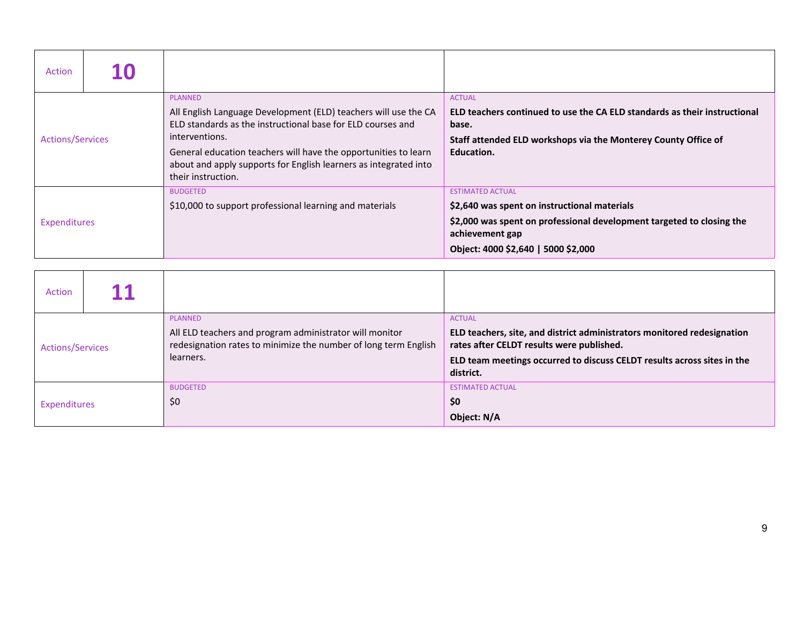| Action                  | 10 |                                                                                                                                                                                                                                                                                                                                 |                                                                                                                                                                                                            |
|-------------------------|----|---------------------------------------------------------------------------------------------------------------------------------------------------------------------------------------------------------------------------------------------------------------------------------------------------------------------------------|------------------------------------------------------------------------------------------------------------------------------------------------------------------------------------------------------------|
| <b>Actions/Services</b> |    | <b>PLANNED</b><br>All English Language Development (ELD) teachers will use the CA<br>ELD standards as the instructional base for ELD courses and<br>interventions.<br>General education teachers will have the opportunities to learn<br>about and apply supports for English learners as integrated into<br>their instruction. | <b>ACTUAL</b><br>ELD teachers continued to use the CA ELD standards as their instructional<br>base.<br>Staff attended ELD workshops via the Monterey County Office of<br>Education.                        |
| Expenditures            |    | <b>BUDGETED</b><br>\$10,000 to support professional learning and materials                                                                                                                                                                                                                                                      | <b>ESTIMATED ACTUAL</b><br>\$2,640 was spent on instructional materials<br>\$2,000 was spent on professional development targeted to closing the<br>achievement gap<br>Object: 4000 \$2,640   5000 \$2,000 |

| Action                  |  |                                                                                                                                                           |                                                                                                                                                                                                                               |
|-------------------------|--|-----------------------------------------------------------------------------------------------------------------------------------------------------------|-------------------------------------------------------------------------------------------------------------------------------------------------------------------------------------------------------------------------------|
| <b>Actions/Services</b> |  | <b>PLANNED</b><br>All ELD teachers and program administrator will monitor<br>redesignation rates to minimize the number of long term English<br>learners. | <b>ACTUAL</b><br>ELD teachers, site, and district administrators monitored redesignation<br>rates after CELDT results were published.<br>ELD team meetings occurred to discuss CELDT results across sites in the<br>district. |
| Expenditures            |  | <b>BUDGETED</b><br>\$0                                                                                                                                    | <b>ESTIMATED ACTUAL</b><br>\$0<br>Object: N/A                                                                                                                                                                                 |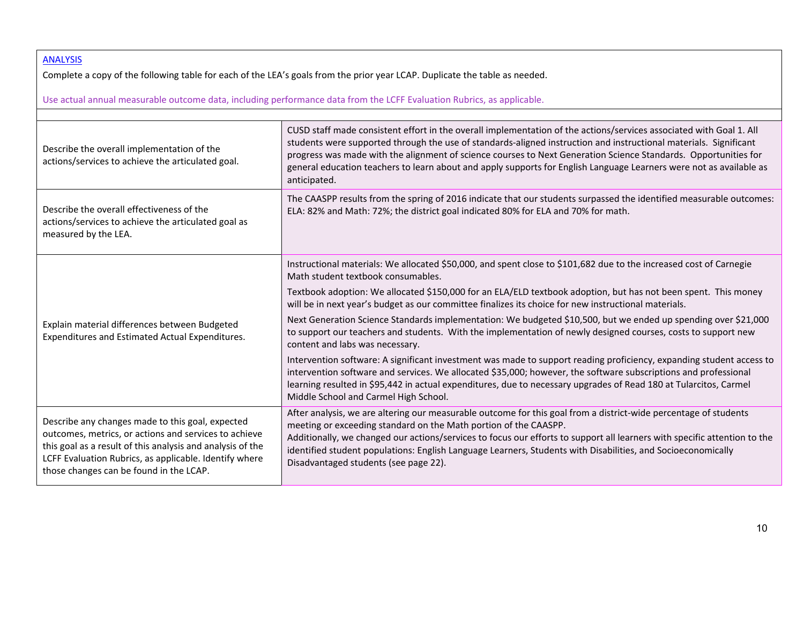## ANALYSIS

Complete <sup>a</sup> copy of the following table for each of the LEA's goals from the prior year LCAP. Duplicate the table as needed.

Use actual annual measurable outcome data, including performance data from the LCFF Evaluation Rubrics, as applicable.

| Describe the overall implementation of the<br>actions/services to achieve the articulated goal.                                                                                                                                                                              | CUSD staff made consistent effort in the overall implementation of the actions/services associated with Goal 1. All<br>students were supported through the use of standards-aligned instruction and instructional materials. Significant<br>progress was made with the alignment of science courses to Next Generation Science Standards. Opportunities for<br>general education teachers to learn about and apply supports for English Language Learners were not as available as<br>anticipated.                                                        |
|------------------------------------------------------------------------------------------------------------------------------------------------------------------------------------------------------------------------------------------------------------------------------|-----------------------------------------------------------------------------------------------------------------------------------------------------------------------------------------------------------------------------------------------------------------------------------------------------------------------------------------------------------------------------------------------------------------------------------------------------------------------------------------------------------------------------------------------------------|
| Describe the overall effectiveness of the<br>actions/services to achieve the articulated goal as<br>measured by the LEA.                                                                                                                                                     | The CAASPP results from the spring of 2016 indicate that our students surpassed the identified measurable outcomes:<br>ELA: 82% and Math: 72%; the district goal indicated 80% for ELA and 70% for math.                                                                                                                                                                                                                                                                                                                                                  |
| Explain material differences between Budgeted                                                                                                                                                                                                                                | Instructional materials: We allocated \$50,000, and spent close to \$101,682 due to the increased cost of Carnegie<br>Math student textbook consumables.<br>Textbook adoption: We allocated \$150,000 for an ELA/ELD textbook adoption, but has not been spent. This money<br>will be in next year's budget as our committee finalizes its choice for new instructional materials.<br>Next Generation Science Standards implementation: We budgeted \$10,500, but we ended up spending over \$21,000                                                      |
| Expenditures and Estimated Actual Expenditures.                                                                                                                                                                                                                              | to support our teachers and students. With the implementation of newly designed courses, costs to support new<br>content and labs was necessary.<br>Intervention software: A significant investment was made to support reading proficiency, expanding student access to<br>intervention software and services. We allocated \$35,000; however, the software subscriptions and professional<br>learning resulted in \$95,442 in actual expenditures, due to necessary upgrades of Read 180 at Tularcitos, Carmel<br>Middle School and Carmel High School. |
| Describe any changes made to this goal, expected<br>outcomes, metrics, or actions and services to achieve<br>this goal as a result of this analysis and analysis of the<br>LCFF Evaluation Rubrics, as applicable. Identify where<br>those changes can be found in the LCAP. | After analysis, we are altering our measurable outcome for this goal from a district-wide percentage of students<br>meeting or exceeding standard on the Math portion of the CAASPP.<br>Additionally, we changed our actions/services to focus our efforts to support all learners with specific attention to the<br>identified student populations: English Language Learners, Students with Disabilities, and Socioeconomically<br>Disadvantaged students (see page 22).                                                                                |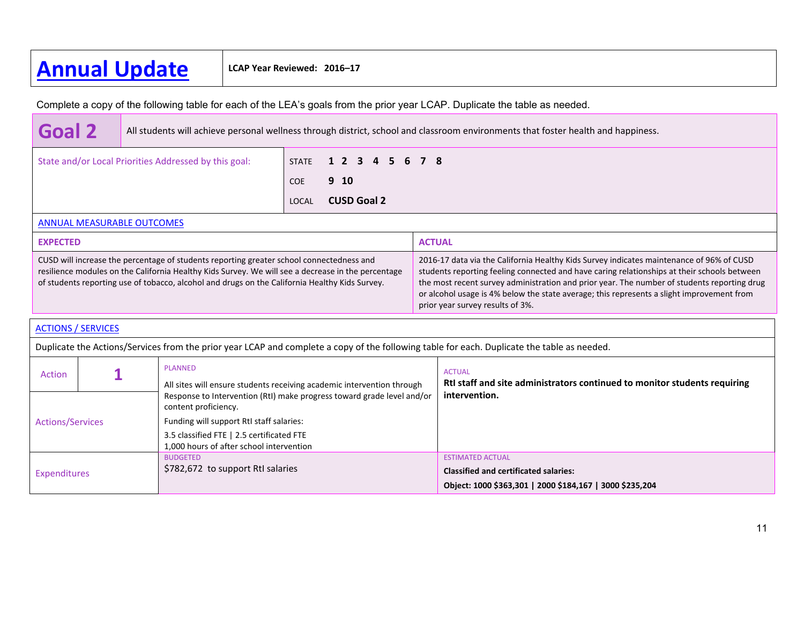# **Annual Update LCAP Year Reviewed: 2016–17**

Complete a copy of the following table for each of the LEA's goals from the prior year LCAP. Duplicate the table as needed.

| <b>Goal 2</b>                                         | All students will achieve personal wellness through district, school and classroom environments that foster health and happiness. |            |                       |  |
|-------------------------------------------------------|-----------------------------------------------------------------------------------------------------------------------------------|------------|-----------------------|--|
| State and/or Local Priorities Addressed by this goal: |                                                                                                                                   |            | STATE 1 2 3 4 5 6 7 8 |  |
|                                                       |                                                                                                                                   | <b>COE</b> | 9 <sub>10</sub>       |  |
|                                                       |                                                                                                                                   |            | <b>CUSD Goal 2</b>    |  |
| <b>ANNUAL MEASURABLE OUTCOMES</b>                     |                                                                                                                                   |            |                       |  |

| <b>EXPECTED</b>                                                                                                                                                                                                                                                                                  | <b>ACTUAL</b>                                                                                                                                                                                                                                                                                                                                                                                                           |
|--------------------------------------------------------------------------------------------------------------------------------------------------------------------------------------------------------------------------------------------------------------------------------------------------|-------------------------------------------------------------------------------------------------------------------------------------------------------------------------------------------------------------------------------------------------------------------------------------------------------------------------------------------------------------------------------------------------------------------------|
| CUSD will increase the percentage of students reporting greater school connectedness and<br>resilience modules on the California Healthy Kids Survey. We will see a decrease in the percentage<br>of students reporting use of tobacco, alcohol and drugs on the California Healthy Kids Survey. | 2016-17 data via the California Healthy Kids Survey indicates maintenance of 96% of CUSD<br>students reporting feeling connected and have caring relationships at their schools between<br>the most recent survey administration and prior year. The number of students reporting drug<br>or alcohol usage is 4% below the state average; this represents a slight improvement from<br>prior year survey results of 3%. |

| <b>ACTIONS / SERVICES</b>                                                                          |  |                                                                                                                                             |                                                                                            |  |  |
|----------------------------------------------------------------------------------------------------|--|---------------------------------------------------------------------------------------------------------------------------------------------|--------------------------------------------------------------------------------------------|--|--|
|                                                                                                    |  | Duplicate the Actions/Services from the prior year LCAP and complete a copy of the following table for each. Duplicate the table as needed. |                                                                                            |  |  |
| <b>PLANNED</b><br>Action<br>All sites will ensure students receiving academic intervention through |  |                                                                                                                                             | <b>ACTUAL</b><br>Rtl staff and site administrators continued to monitor students requiring |  |  |
|                                                                                                    |  | Response to Intervention (RtI) make progress toward grade level and/or<br>content proficiency.                                              | intervention.                                                                              |  |  |
| <b>Actions/Services</b>                                                                            |  | Funding will support RtI staff salaries:                                                                                                    |                                                                                            |  |  |
|                                                                                                    |  | 3.5 classified FTE   2.5 certificated FTE<br>1,000 hours of after school intervention                                                       |                                                                                            |  |  |
| Expenditures                                                                                       |  | <b>BUDGETED</b>                                                                                                                             | <b>ESTIMATED ACTUAL</b>                                                                    |  |  |
|                                                                                                    |  | \$782,672 to support RtI salaries                                                                                                           | <b>Classified and certificated salaries:</b>                                               |  |  |
|                                                                                                    |  |                                                                                                                                             | Object: 1000 \$363,301   2000 \$184,167   3000 \$235,204                                   |  |  |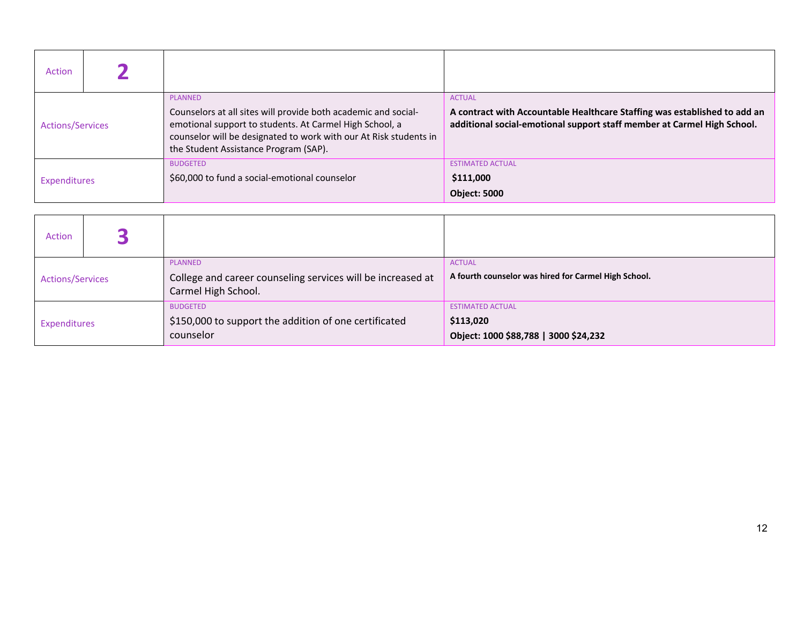| Action                  |  |                                                                                                                                                                                                                                                           |                                                                                                                                                                       |
|-------------------------|--|-----------------------------------------------------------------------------------------------------------------------------------------------------------------------------------------------------------------------------------------------------------|-----------------------------------------------------------------------------------------------------------------------------------------------------------------------|
| <b>Actions/Services</b> |  | <b>PLANNED</b><br>Counselors at all sites will provide both academic and social-<br>emotional support to students. At Carmel High School, a<br>counselor will be designated to work with our At Risk students in<br>the Student Assistance Program (SAP). | <b>ACTUAL</b><br>A contract with Accountable Healthcare Staffing was established to add an<br>additional social-emotional support staff member at Carmel High School. |
| <b>Expenditures</b>     |  | <b>BUDGETED</b><br>\$60,000 to fund a social-emotional counselor                                                                                                                                                                                          | <b>ESTIMATED ACTUAL</b><br>\$111,000<br><b>Object: 5000</b>                                                                                                           |

| Action                  |  |                                                                                                      |                                                                               |
|-------------------------|--|------------------------------------------------------------------------------------------------------|-------------------------------------------------------------------------------|
| <b>Actions/Services</b> |  | <b>PLANNED</b><br>College and career counseling services will be increased at<br>Carmel High School. | <b>ACTUAL</b><br>A fourth counselor was hired for Carmel High School.         |
| Expenditures            |  | <b>BUDGETED</b><br>\$150,000 to support the addition of one certificated<br>counselor                | <b>ESTIMATED ACTUAL</b><br>\$113,020<br>Object: 1000 \$88,788   3000 \$24,232 |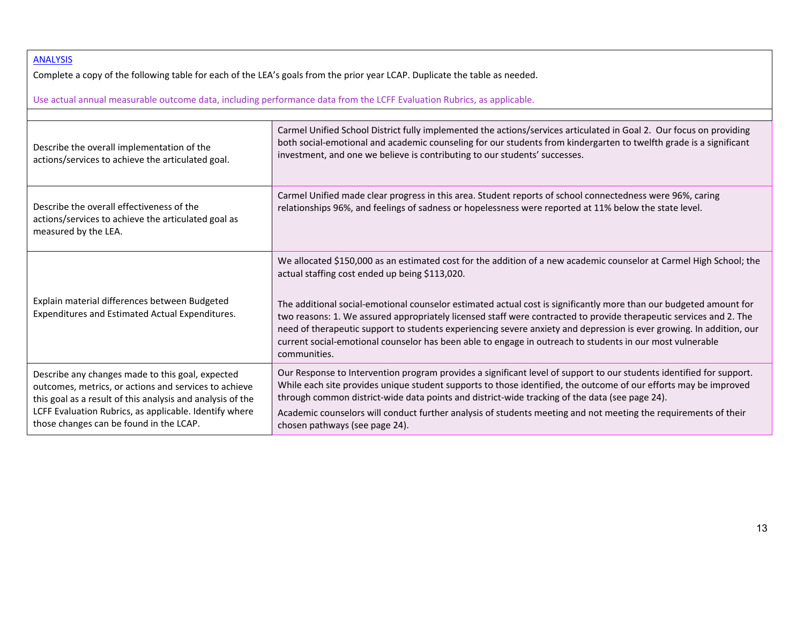### ANALYSIS

Complete <sup>a</sup> copy of the following table for each of the LEA's goals from the prior year LCAP. Duplicate the table as needed.

Use actual annual measurable outcome data, including performance data from the LCFF Evaluation Rubrics, as applicable.

| Describe the overall implementation of the<br>actions/services to achieve the articulated goal.                                                                                                                                                                              | Carmel Unified School District fully implemented the actions/services articulated in Goal 2. Our focus on providing<br>both social-emotional and academic counseling for our students from kindergarten to twelfth grade is a significant<br>investment, and one we believe is contributing to our students' successes.                                                                                                                                                                                                                                                                                                                                                |
|------------------------------------------------------------------------------------------------------------------------------------------------------------------------------------------------------------------------------------------------------------------------------|------------------------------------------------------------------------------------------------------------------------------------------------------------------------------------------------------------------------------------------------------------------------------------------------------------------------------------------------------------------------------------------------------------------------------------------------------------------------------------------------------------------------------------------------------------------------------------------------------------------------------------------------------------------------|
| Describe the overall effectiveness of the<br>actions/services to achieve the articulated goal as<br>measured by the LEA.                                                                                                                                                     | Carmel Unified made clear progress in this area. Student reports of school connectedness were 96%, caring<br>relationships 96%, and feelings of sadness or hopelessness were reported at 11% below the state level.                                                                                                                                                                                                                                                                                                                                                                                                                                                    |
| Explain material differences between Budgeted<br>Expenditures and Estimated Actual Expenditures.                                                                                                                                                                             | We allocated \$150,000 as an estimated cost for the addition of a new academic counselor at Carmel High School; the<br>actual staffing cost ended up being \$113,020.<br>The additional social-emotional counselor estimated actual cost is significantly more than our budgeted amount for<br>two reasons: 1. We assured appropriately licensed staff were contracted to provide therapeutic services and 2. The<br>need of therapeutic support to students experiencing severe anxiety and depression is ever growing. In addition, our<br>current social-emotional counselor has been able to engage in outreach to students in our most vulnerable<br>communities. |
| Describe any changes made to this goal, expected<br>outcomes, metrics, or actions and services to achieve<br>this goal as a result of this analysis and analysis of the<br>LCFF Evaluation Rubrics, as applicable. Identify where<br>those changes can be found in the LCAP. | Our Response to Intervention program provides a significant level of support to our students identified for support.<br>While each site provides unique student supports to those identified, the outcome of our efforts may be improved<br>through common district-wide data points and district-wide tracking of the data (see page 24).<br>Academic counselors will conduct further analysis of students meeting and not meeting the requirements of their<br>chosen pathways (see page 24).                                                                                                                                                                        |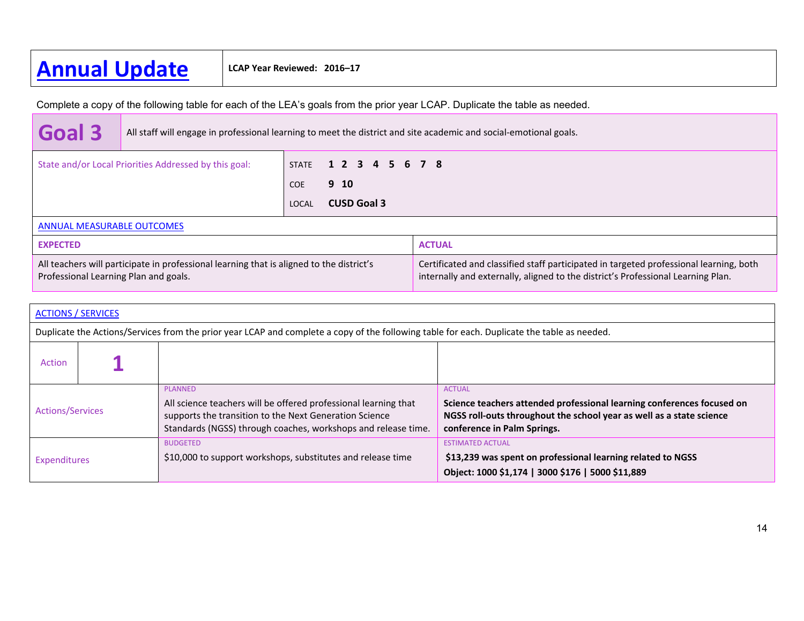# **Annual Update LCAP Year Reviewed: 2016–17**

Complete a copy of the following table for each of the LEA's goals from the prior year LCAP. Duplicate the table as needed.

| Goal 3                                                                                                                            | All staff will engage in professional learning to meet the district and site academic and social-emotional goals. |                             |                       |                                                                                                                                                                            |
|-----------------------------------------------------------------------------------------------------------------------------------|-------------------------------------------------------------------------------------------------------------------|-----------------------------|-----------------------|----------------------------------------------------------------------------------------------------------------------------------------------------------------------------|
| State and/or Local Priorities Addressed by this goal:                                                                             |                                                                                                                   |                             | STATE 1 2 3 4 5 6 7 8 |                                                                                                                                                                            |
|                                                                                                                                   |                                                                                                                   | <b>COE</b>                  | 9 <sub>10</sub>       |                                                                                                                                                                            |
|                                                                                                                                   |                                                                                                                   | <b>CUSD Goal 3</b><br>LOCAL |                       |                                                                                                                                                                            |
| <b>ANNUAL MEASURABLE OUTCOMES</b>                                                                                                 |                                                                                                                   |                             |                       |                                                                                                                                                                            |
| <b>EXPECTED</b>                                                                                                                   |                                                                                                                   |                             |                       | <b>ACTUAL</b>                                                                                                                                                              |
| All teachers will participate in professional learning that is aligned to the district's<br>Professional Learning Plan and goals. |                                                                                                                   |                             |                       | Certificated and classified staff participated in targeted professional learning, both<br>internally and externally, aligned to the district's Professional Learning Plan. |

| <b>ACTIONS / SERVICES</b> |                                                                                                                                             |                                                                                                                                                                                                              |                                                                                                                                                                                                |  |  |  |  |
|---------------------------|---------------------------------------------------------------------------------------------------------------------------------------------|--------------------------------------------------------------------------------------------------------------------------------------------------------------------------------------------------------------|------------------------------------------------------------------------------------------------------------------------------------------------------------------------------------------------|--|--|--|--|
|                           | Duplicate the Actions/Services from the prior year LCAP and complete a copy of the following table for each. Duplicate the table as needed. |                                                                                                                                                                                                              |                                                                                                                                                                                                |  |  |  |  |
| <b>Action</b>             |                                                                                                                                             |                                                                                                                                                                                                              |                                                                                                                                                                                                |  |  |  |  |
| <b>Actions/Services</b>   |                                                                                                                                             | <b>PLANNED</b><br>All science teachers will be offered professional learning that<br>supports the transition to the Next Generation Science<br>Standards (NGSS) through coaches, workshops and release time. | <b>ACTUAL</b><br>Science teachers attended professional learning conferences focused on<br>NGSS roll-outs throughout the school year as well as a state science<br>conference in Palm Springs. |  |  |  |  |
| Expenditures              |                                                                                                                                             | <b>BUDGETED</b><br>\$10,000 to support workshops, substitutes and release time                                                                                                                               | <b>ESTIMATED ACTUAL</b><br>\$13,239 was spent on professional learning related to NGSS<br>Object: 1000 \$1,174   3000 \$176   5000 \$11,889                                                    |  |  |  |  |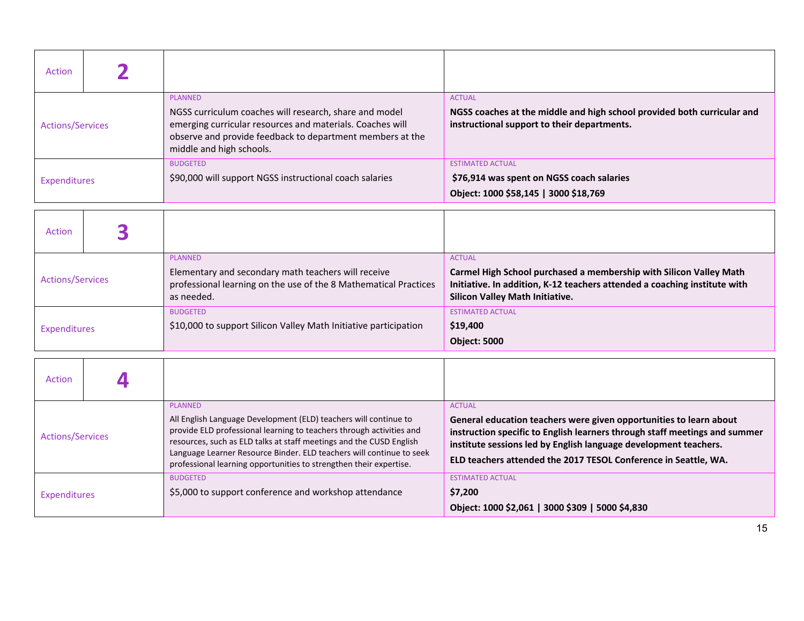| Action                  |  |                                                                                                                                                                                                                                |                                                                                                                                         |
|-------------------------|--|--------------------------------------------------------------------------------------------------------------------------------------------------------------------------------------------------------------------------------|-----------------------------------------------------------------------------------------------------------------------------------------|
| <b>Actions/Services</b> |  | <b>PLANNED</b><br>NGSS curriculum coaches will research, share and model<br>emerging curricular resources and materials. Coaches will<br>observe and provide feedback to department members at the<br>middle and high schools. | <b>ACTUAL</b><br>NGSS coaches at the middle and high school provided both curricular and<br>instructional support to their departments. |
| Expenditures            |  | <b>BUDGETED</b><br>\$90,000 will support NGSS instructional coach salaries                                                                                                                                                     | <b>ESTIMATED ACTUAL</b><br>\$76,914 was spent on NGSS coach salaries<br>Object: 1000 \$58,145   3000 \$18,769                           |

| Action                  |  |                                                                                                                                                         |                                                                                                                                                                                                            |
|-------------------------|--|---------------------------------------------------------------------------------------------------------------------------------------------------------|------------------------------------------------------------------------------------------------------------------------------------------------------------------------------------------------------------|
| <b>Actions/Services</b> |  | <b>PLANNED</b><br>Elementary and secondary math teachers will receive<br>professional learning on the use of the 8 Mathematical Practices<br>as needed. | <b>ACTUAL</b><br>Carmel High School purchased a membership with Silicon Valley Math<br>Initiative. In addition, K-12 teachers attended a coaching institute with<br><b>Silicon Valley Math Initiative.</b> |
| Expenditures            |  | <b>BUDGETED</b><br>\$10,000 to support Silicon Valley Math Initiative participation                                                                     | <b>ESTIMATED ACTUAL</b><br>\$19,400<br><b>Object: 5000</b>                                                                                                                                                 |

| Action                  |  |                                                                                                                                                                                                                                                                                                                                                                                 |                                                                                                                                                                                                                                                                                                          |  |  |
|-------------------------|--|---------------------------------------------------------------------------------------------------------------------------------------------------------------------------------------------------------------------------------------------------------------------------------------------------------------------------------------------------------------------------------|----------------------------------------------------------------------------------------------------------------------------------------------------------------------------------------------------------------------------------------------------------------------------------------------------------|--|--|
| <b>Actions/Services</b> |  | <b>PLANNED</b><br>All English Language Development (ELD) teachers will continue to<br>provide ELD professional learning to teachers through activities and<br>resources, such as ELD talks at staff meetings and the CUSD English<br>Language Learner Resource Binder. ELD teachers will continue to seek<br>professional learning opportunities to strengthen their expertise. | <b>ACTUAL</b><br>General education teachers were given opportunities to learn about<br>instruction specific to English learners through staff meetings and summer<br>institute sessions led by English language development teachers.<br>ELD teachers attended the 2017 TESOL Conference in Seattle, WA. |  |  |
| Expenditures            |  | <b>BUDGETED</b><br>\$5,000 to support conference and workshop attendance                                                                                                                                                                                                                                                                                                        | <b>ESTIMATED ACTUAL</b><br>\$7,200<br>Object: 1000 \$2,061   3000 \$309   5000 \$4,830                                                                                                                                                                                                                   |  |  |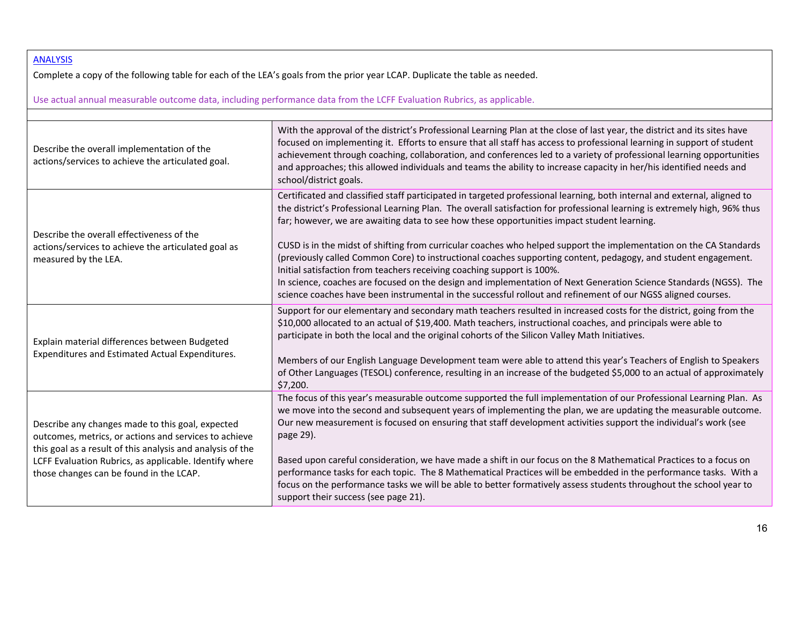### ANALYSIS

Complete <sup>a</sup> copy of the following table for each of the LEA's goals from the prior year LCAP. Duplicate the table as needed.

Use actual annual measurable outcome data, including performance data from the LCFF Evaluation Rubrics, as applicable.

| Describe the overall implementation of the<br>actions/services to achieve the articulated goal.                                                                                                                                                                              | With the approval of the district's Professional Learning Plan at the close of last year, the district and its sites have<br>focused on implementing it. Efforts to ensure that all staff has access to professional learning in support of student<br>achievement through coaching, collaboration, and conferences led to a variety of professional learning opportunities<br>and approaches; this allowed individuals and teams the ability to increase capacity in her/his identified needs and<br>school/district goals.                                                                                                                                                                                                                                                                                                                                                                               |
|------------------------------------------------------------------------------------------------------------------------------------------------------------------------------------------------------------------------------------------------------------------------------|------------------------------------------------------------------------------------------------------------------------------------------------------------------------------------------------------------------------------------------------------------------------------------------------------------------------------------------------------------------------------------------------------------------------------------------------------------------------------------------------------------------------------------------------------------------------------------------------------------------------------------------------------------------------------------------------------------------------------------------------------------------------------------------------------------------------------------------------------------------------------------------------------------|
| Describe the overall effectiveness of the<br>actions/services to achieve the articulated goal as<br>measured by the LEA.                                                                                                                                                     | Certificated and classified staff participated in targeted professional learning, both internal and external, aligned to<br>the district's Professional Learning Plan. The overall satisfaction for professional learning is extremely high, 96% thus<br>far; however, we are awaiting data to see how these opportunities impact student learning.<br>CUSD is in the midst of shifting from curricular coaches who helped support the implementation on the CA Standards<br>(previously called Common Core) to instructional coaches supporting content, pedagogy, and student engagement.<br>Initial satisfaction from teachers receiving coaching support is 100%.<br>In science, coaches are focused on the design and implementation of Next Generation Science Standards (NGSS). The<br>science coaches have been instrumental in the successful rollout and refinement of our NGSS aligned courses. |
| Explain material differences between Budgeted<br>Expenditures and Estimated Actual Expenditures.                                                                                                                                                                             | Support for our elementary and secondary math teachers resulted in increased costs for the district, going from the<br>\$10,000 allocated to an actual of \$19,400. Math teachers, instructional coaches, and principals were able to<br>participate in both the local and the original cohorts of the Silicon Valley Math Initiatives.<br>Members of our English Language Development team were able to attend this year's Teachers of English to Speakers<br>of Other Languages (TESOL) conference, resulting in an increase of the budgeted \$5,000 to an actual of approximately<br>\$7,200.                                                                                                                                                                                                                                                                                                           |
| Describe any changes made to this goal, expected<br>outcomes, metrics, or actions and services to achieve<br>this goal as a result of this analysis and analysis of the<br>LCFF Evaluation Rubrics, as applicable. Identify where<br>those changes can be found in the LCAP. | The focus of this year's measurable outcome supported the full implementation of our Professional Learning Plan. As<br>we move into the second and subsequent years of implementing the plan, we are updating the measurable outcome.<br>Our new measurement is focused on ensuring that staff development activities support the individual's work (see<br>page 29).<br>Based upon careful consideration, we have made a shift in our focus on the 8 Mathematical Practices to a focus on<br>performance tasks for each topic. The 8 Mathematical Practices will be embedded in the performance tasks. With a<br>focus on the performance tasks we will be able to better formatively assess students throughout the school year to<br>support their success (see page 21).                                                                                                                               |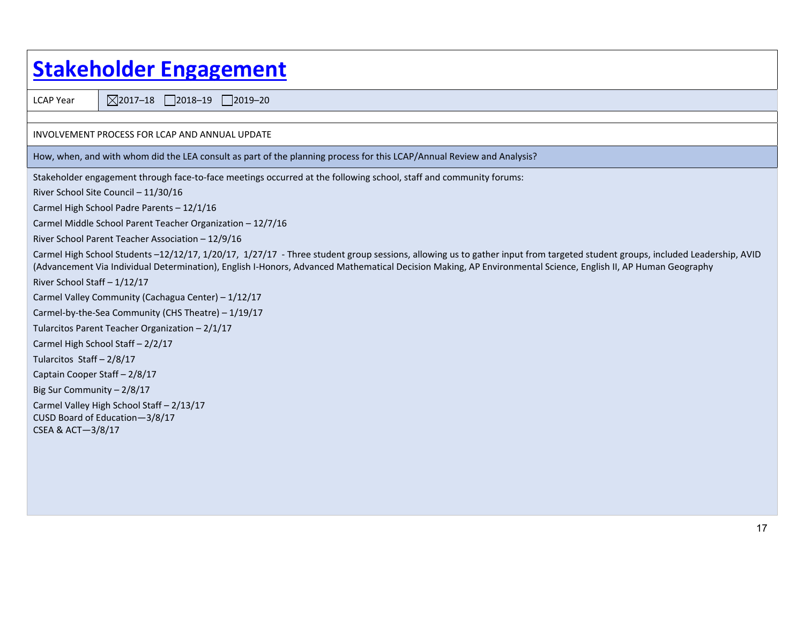| <b>Stakeholder Engagement</b>                                                                                                                                                                                                                                                                                                                |  |  |  |  |  |  |
|----------------------------------------------------------------------------------------------------------------------------------------------------------------------------------------------------------------------------------------------------------------------------------------------------------------------------------------------|--|--|--|--|--|--|
| $\boxtimes$ 2017-18 2018-19 2019-20<br><b>LCAP Year</b>                                                                                                                                                                                                                                                                                      |  |  |  |  |  |  |
|                                                                                                                                                                                                                                                                                                                                              |  |  |  |  |  |  |
| INVOLVEMENT PROCESS FOR LCAP AND ANNUAL UPDATE                                                                                                                                                                                                                                                                                               |  |  |  |  |  |  |
| How, when, and with whom did the LEA consult as part of the planning process for this LCAP/Annual Review and Analysis?                                                                                                                                                                                                                       |  |  |  |  |  |  |
| Stakeholder engagement through face-to-face meetings occurred at the following school, staff and community forums:                                                                                                                                                                                                                           |  |  |  |  |  |  |
| River School Site Council - 11/30/16                                                                                                                                                                                                                                                                                                         |  |  |  |  |  |  |
| Carmel High School Padre Parents - 12/1/16                                                                                                                                                                                                                                                                                                   |  |  |  |  |  |  |
| Carmel Middle School Parent Teacher Organization - 12/7/16                                                                                                                                                                                                                                                                                   |  |  |  |  |  |  |
| River School Parent Teacher Association - 12/9/16                                                                                                                                                                                                                                                                                            |  |  |  |  |  |  |
| Carmel High School Students -12/12/17, 1/20/17, 1/27/17 - Three student group sessions, allowing us to gather input from targeted student groups, included Leadership, AVID<br>(Advancement Via Individual Determination), English I-Honors, Advanced Mathematical Decision Making, AP Environmental Science, English II, AP Human Geography |  |  |  |  |  |  |
| River School Staff - 1/12/17                                                                                                                                                                                                                                                                                                                 |  |  |  |  |  |  |
| Carmel Valley Community (Cachagua Center) - 1/12/17                                                                                                                                                                                                                                                                                          |  |  |  |  |  |  |
| Carmel-by-the-Sea Community (CHS Theatre) - 1/19/17                                                                                                                                                                                                                                                                                          |  |  |  |  |  |  |
| Tularcitos Parent Teacher Organization - 2/1/17                                                                                                                                                                                                                                                                                              |  |  |  |  |  |  |
| Carmel High School Staff - 2/2/17                                                                                                                                                                                                                                                                                                            |  |  |  |  |  |  |
| Tularcitos Staff - 2/8/17                                                                                                                                                                                                                                                                                                                    |  |  |  |  |  |  |
| Captain Cooper Staff - 2/8/17                                                                                                                                                                                                                                                                                                                |  |  |  |  |  |  |
| Big Sur Community - 2/8/17                                                                                                                                                                                                                                                                                                                   |  |  |  |  |  |  |
| Carmel Valley High School Staff - 2/13/17<br>CUSD Board of Education-3/8/17<br>CSEA & ACT-3/8/17                                                                                                                                                                                                                                             |  |  |  |  |  |  |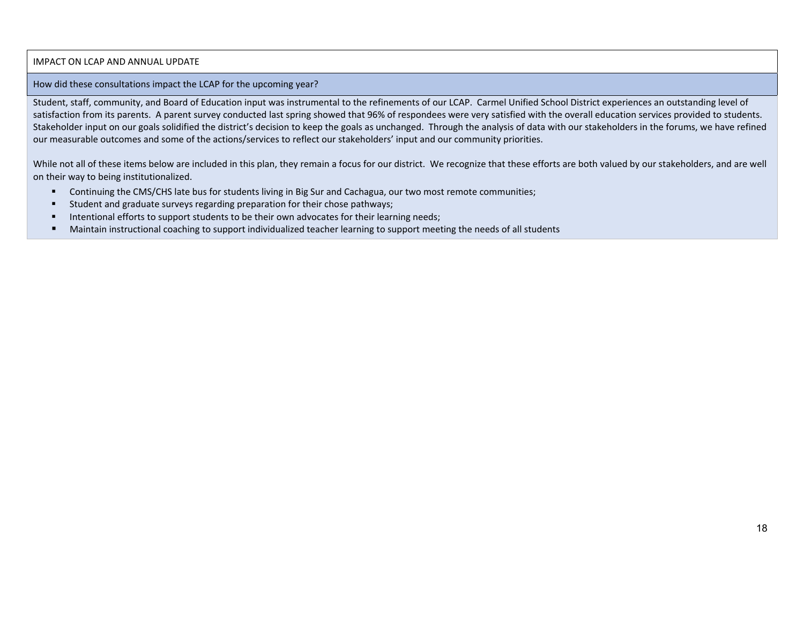#### IMPACT ON LCAP AND ANNUAL UPDATE

#### How did these consultations impact the LCAP for the upcoming year?

Student, staff, community, and Board of Education input was instrumental to the refinements of our LCAP. Carmel Unified School District experiences an outstanding level of satisfaction from its parents. A parent survey conducted last spring showed that 96% of respondees were very satisfied with the overall education services provided to students. Stakeholder input on our goals solidified the district's decision to keep the goals as unchanged. Through the analysis of data with our stakeholders in the forums, we have refined our measurable outcomes and some of the actions/services to reflect our stakeholders' input and our community priorities.

While not all of these items below are included in this plan, they remain a focus for our district. We recognize that these efforts are both valued by our stakeholders, and are well on their way to being institutionalized.

- $\blacksquare$ Continuing the CMS/CHS late bus for students living in Big Sur and Cachagua, our two most remote communities;
- $\blacksquare$ Student and graduate surveys regarding preparation for their chose pathways;
- п Intentional efforts to support students to be their own advocates for their learning needs;
- $\blacksquare$ Maintain instructional coaching to support individualized teacher learning to support meeting the needs of all students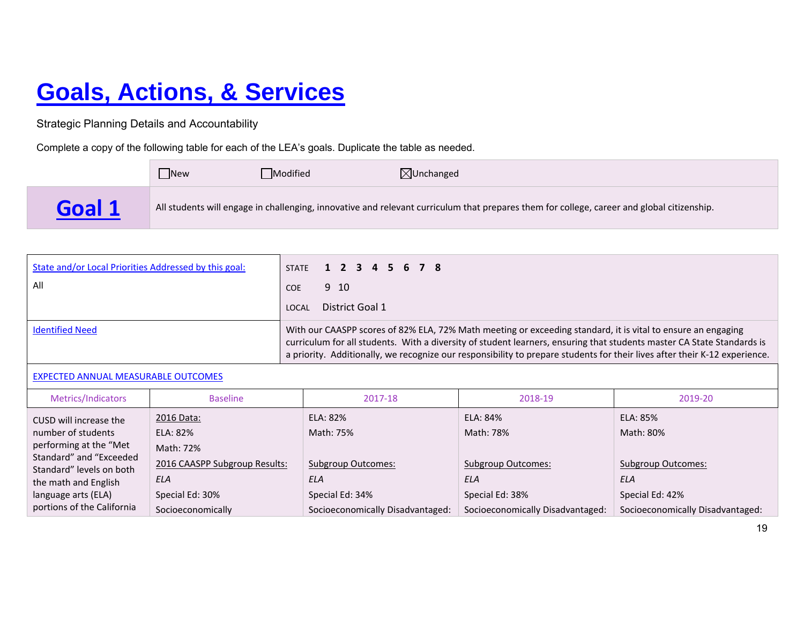# **Goals, Actions, & Services**

Strategic Planning Details and Accountability

Complete a copy of the following table for each of the LEA's goals. Duplicate the table as needed.

|        | <b>New</b> | Modified | $\boxtimes$ Unchanged                                                                                                                      |
|--------|------------|----------|--------------------------------------------------------------------------------------------------------------------------------------------|
| Goal 1 |            |          | All students will engage in challenging, innovative and relevant curriculum that prepares them for college, career and global citizenship. |

| State and/or Local Priorities Addressed by this goal: | STATE 1 2 3 4 5 6 7 8                                                                                                                                                                                                                                                                                                                                                |
|-------------------------------------------------------|----------------------------------------------------------------------------------------------------------------------------------------------------------------------------------------------------------------------------------------------------------------------------------------------------------------------------------------------------------------------|
| All                                                   | 9 10<br><b>COE</b>                                                                                                                                                                                                                                                                                                                                                   |
|                                                       | District Goal 1<br>LOCAL                                                                                                                                                                                                                                                                                                                                             |
| <b>Identified Need</b>                                | With our CAASPP scores of 82% ELA, 72% Math meeting or exceeding standard, it is vital to ensure an engaging<br>curriculum for all students. With a diversity of student learners, ensuring that students master CA State Standards is<br>a priority. Additionally, we recognize our responsibility to prepare students for their lives after their K-12 experience. |

### EXPECTED ANNUAL MEASURABLE OUTCOMES

| Metrics/Indicators                                | <b>Baseline</b>               | 2017-18                          | 2018-19                          | 2019-20                          |
|---------------------------------------------------|-------------------------------|----------------------------------|----------------------------------|----------------------------------|
| CUSD will increase the                            | 2016 Data:                    | ELA: 82%                         | ELA: 84%                         | ELA: 85%                         |
| number of students                                | ELA: 82%                      | Math: 75%                        | Math: 78%                        | Math: 80%                        |
| performing at the "Met<br>Standard" and "Exceeded | Math: 72%                     |                                  |                                  |                                  |
| Standard" levels on both                          | 2016 CAASPP Subgroup Results: | <b>Subgroup Outcomes:</b>        | <b>Subgroup Outcomes:</b>        | Subgroup Outcomes:               |
| the math and English                              | ELA                           | ELA                              | ELA                              | ELA                              |
| language arts (ELA)                               | Special Ed: 30%               | Special Ed: 34%                  | Special Ed: 38%                  | Special Ed: 42%                  |
| portions of the California                        | Socioeconomically             | Socioeconomically Disadvantaged: | Socioeconomically Disadvantaged: | Socioeconomically Disadvantaged: |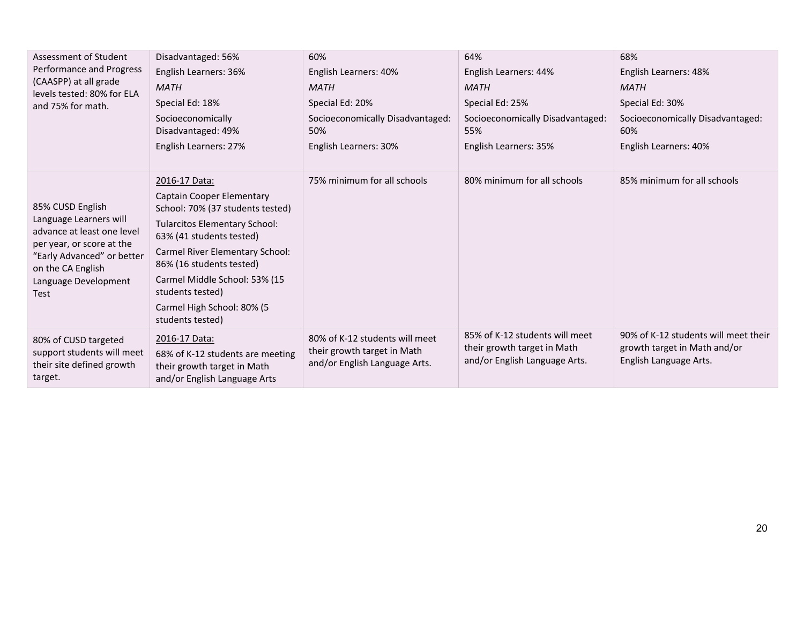| Assessment of Student                                                        | Disadvantaged: 56%                                                                              | 60%                                                          | 64%                                                          | 68%                                                    |  |
|------------------------------------------------------------------------------|-------------------------------------------------------------------------------------------------|--------------------------------------------------------------|--------------------------------------------------------------|--------------------------------------------------------|--|
| Performance and Progress                                                     | English Learners: 36%                                                                           | English Learners: 40%                                        | English Learners: 44%                                        | English Learners: 48%                                  |  |
| (CAASPP) at all grade<br>levels tested: 80% for ELA                          | <b>MATH</b>                                                                                     | <b>MATH</b>                                                  | <b>MATH</b>                                                  | <b>MATH</b>                                            |  |
| and 75% for math.                                                            | Special Ed: 18%                                                                                 | Special Ed: 20%                                              | Special Ed: 25%                                              | Special Ed: 30%                                        |  |
|                                                                              | Socioeconomically                                                                               | Socioeconomically Disadvantaged:                             | Socioeconomically Disadvantaged:                             | Socioeconomically Disadvantaged:                       |  |
|                                                                              | Disadvantaged: 49%                                                                              | 50%                                                          | 55%                                                          | 60%                                                    |  |
|                                                                              | English Learners: 27%                                                                           | English Learners: 30%                                        | English Learners: 35%                                        | English Learners: 40%                                  |  |
|                                                                              |                                                                                                 |                                                              |                                                              |                                                        |  |
|                                                                              | 2016-17 Data:                                                                                   | 75% minimum for all schools                                  | 80% minimum for all schools                                  | 85% minimum for all schools                            |  |
|                                                                              | Captain Cooper Elementary                                                                       |                                                              |                                                              |                                                        |  |
| 85% CUSD English                                                             | School: 70% (37 students tested)                                                                |                                                              |                                                              |                                                        |  |
| Language Learners will<br>advance at least one level                         | <b>Tularcitos Elementary School:</b><br>63% (41 students tested)                                |                                                              |                                                              |                                                        |  |
| per year, or score at the<br>"Early Advanced" or better<br>on the CA English | <b>Carmel River Elementary School:</b><br>86% (16 students tested)                              |                                                              |                                                              |                                                        |  |
| Language Development<br>Test                                                 | Carmel Middle School: 53% (15<br>students tested)                                               |                                                              |                                                              |                                                        |  |
|                                                                              | Carmel High School: 80% (5<br>students tested)                                                  |                                                              |                                                              |                                                        |  |
| 80% of CUSD targeted                                                         | 2016-17 Data:                                                                                   | 80% of K-12 students will meet                               | 85% of K-12 students will meet                               | 90% of K-12 students will meet their                   |  |
| support students will meet<br>their site defined growth<br>target.           | 68% of K-12 students are meeting<br>their growth target in Math<br>and/or English Language Arts | their growth target in Math<br>and/or English Language Arts. | their growth target in Math<br>and/or English Language Arts. | growth target in Math and/or<br>English Language Arts. |  |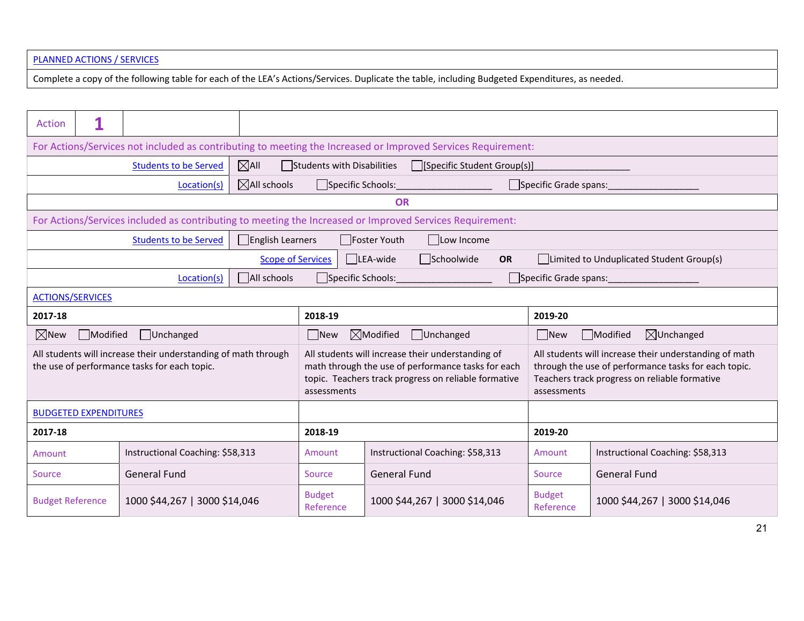#### PLANNED ACTIONS / SERVICES

Complete <sup>a</sup> copy of the following table for each of the LEA's Actions/Services. Duplicate the table, including Budgeted Expenditures, as needed.

| Action                                                                                                         |                                                                                                          |                                  |                          |                                                                                                                                                                                |                                     |           |                                                                                                                                                                                |                                          |  |
|----------------------------------------------------------------------------------------------------------------|----------------------------------------------------------------------------------------------------------|----------------------------------|--------------------------|--------------------------------------------------------------------------------------------------------------------------------------------------------------------------------|-------------------------------------|-----------|--------------------------------------------------------------------------------------------------------------------------------------------------------------------------------|------------------------------------------|--|
| For Actions/Services not included as contributing to meeting the Increased or Improved Services Requirement:   |                                                                                                          |                                  |                          |                                                                                                                                                                                |                                     |           |                                                                                                                                                                                |                                          |  |
|                                                                                                                |                                                                                                          | <b>Students to be Served</b>     | $\boxtimes$ All          | Students with Disabilities                                                                                                                                                     | [Specific Student Group(s)]         |           |                                                                                                                                                                                |                                          |  |
|                                                                                                                |                                                                                                          | Location(s)                      | $\boxtimes$ All schools  |                                                                                                                                                                                | Specific Schools: Specific Schools: |           | Specific Grade spans:                                                                                                                                                          |                                          |  |
|                                                                                                                |                                                                                                          |                                  |                          |                                                                                                                                                                                | <b>OR</b>                           |           |                                                                                                                                                                                |                                          |  |
|                                                                                                                | For Actions/Services included as contributing to meeting the Increased or Improved Services Requirement: |                                  |                          |                                                                                                                                                                                |                                     |           |                                                                                                                                                                                |                                          |  |
|                                                                                                                |                                                                                                          | <b>Students to be Served</b>     | $\Box$ English Learners  |                                                                                                                                                                                | □Foster Youth<br>$\Box$ Low Income  |           |                                                                                                                                                                                |                                          |  |
|                                                                                                                |                                                                                                          |                                  | <b>Scope of Services</b> |                                                                                                                                                                                | LEA-wide<br>Schoolwide              | <b>OR</b> |                                                                                                                                                                                | Limited to Unduplicated Student Group(s) |  |
|                                                                                                                |                                                                                                          | Location(s)                      | All schools              |                                                                                                                                                                                | Specific Schools: Specific Schools: |           |                                                                                                                                                                                | Specific Grade spans:                    |  |
|                                                                                                                | <b>ACTIONS/SERVICES</b>                                                                                  |                                  |                          |                                                                                                                                                                                |                                     |           |                                                                                                                                                                                |                                          |  |
| 2017-18                                                                                                        |                                                                                                          |                                  |                          | 2018-19                                                                                                                                                                        |                                     |           | 2019-20                                                                                                                                                                        |                                          |  |
| $\boxtimes$ New                                                                                                | Modified                                                                                                 | Unchanged                        |                          | $\boxtimes$ Modified<br>$\Box$ New<br>Unchanged                                                                                                                                |                                     |           | New                                                                                                                                                                            | $\boxtimes$ Unchanged<br>Modified        |  |
| All students will increase their understanding of math through<br>the use of performance tasks for each topic. |                                                                                                          |                                  |                          | All students will increase their understanding of<br>math through the use of performance tasks for each<br>topic. Teachers track progress on reliable formative<br>assessments |                                     |           | All students will increase their understanding of math<br>through the use of performance tasks for each topic.<br>Teachers track progress on reliable formative<br>assessments |                                          |  |
|                                                                                                                | <b>BUDGETED EXPENDITURES</b>                                                                             |                                  |                          |                                                                                                                                                                                |                                     |           |                                                                                                                                                                                |                                          |  |
| 2017-18                                                                                                        |                                                                                                          |                                  |                          | 2018-19                                                                                                                                                                        |                                     |           | 2019-20                                                                                                                                                                        |                                          |  |
| Amount                                                                                                         |                                                                                                          | Instructional Coaching: \$58,313 |                          | Amount                                                                                                                                                                         | Instructional Coaching: \$58,313    |           | Amount                                                                                                                                                                         | Instructional Coaching: \$58,313         |  |
| Source                                                                                                         | <b>General Fund</b>                                                                                      |                                  |                          | Source                                                                                                                                                                         | <b>General Fund</b>                 |           | <b>Source</b>                                                                                                                                                                  | <b>General Fund</b>                      |  |
| <b>Budget Reference</b>                                                                                        |                                                                                                          | 1000 \$44,267   3000 \$14,046    |                          | <b>Budget</b><br>Reference                                                                                                                                                     | 1000 \$44,267   3000 \$14,046       |           | <b>Budget</b><br>Reference                                                                                                                                                     | 1000 \$44,267   3000 \$14,046            |  |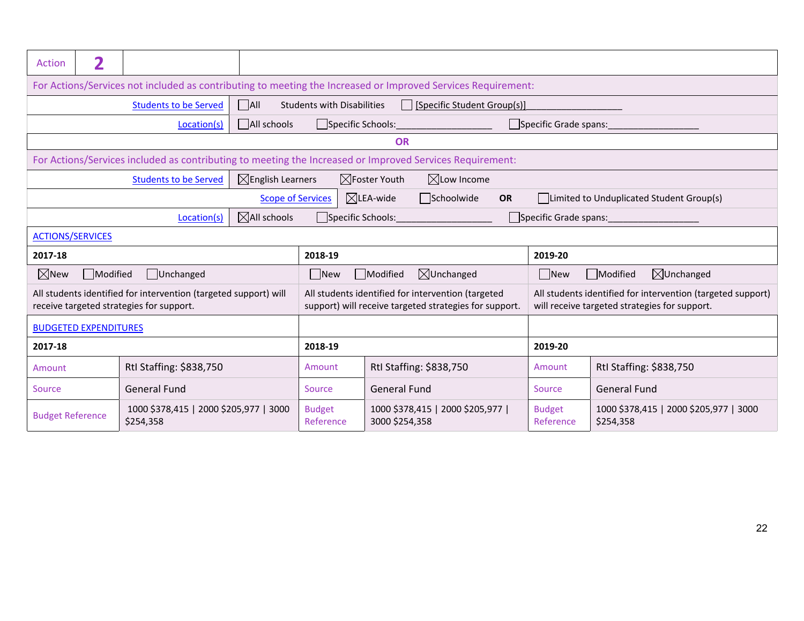| Action                                 | 2                                                                                                        |                                                                                                              |                              |                                                                                                              |                                                                   |                                                     |           |                                                                                                              |                                                     |  |
|----------------------------------------|----------------------------------------------------------------------------------------------------------|--------------------------------------------------------------------------------------------------------------|------------------------------|--------------------------------------------------------------------------------------------------------------|-------------------------------------------------------------------|-----------------------------------------------------|-----------|--------------------------------------------------------------------------------------------------------------|-----------------------------------------------------|--|
|                                        |                                                                                                          | For Actions/Services not included as contributing to meeting the Increased or Improved Services Requirement: |                              |                                                                                                              |                                                                   |                                                     |           |                                                                                                              |                                                     |  |
|                                        |                                                                                                          | <b>Students to be Served</b>                                                                                 | $\Box$ All                   | <b>Students with Disabilities</b>                                                                            |                                                                   | [Specific Student Group(s)]                         |           |                                                                                                              |                                                     |  |
|                                        |                                                                                                          | Location(s)                                                                                                  | All schools                  |                                                                                                              | Specific Schools: ______________________<br>Specific Grade spans: |                                                     |           |                                                                                                              |                                                     |  |
|                                        | <b>OR</b>                                                                                                |                                                                                                              |                              |                                                                                                              |                                                                   |                                                     |           |                                                                                                              |                                                     |  |
|                                        | For Actions/Services included as contributing to meeting the Increased or Improved Services Requirement: |                                                                                                              |                              |                                                                                                              |                                                                   |                                                     |           |                                                                                                              |                                                     |  |
|                                        |                                                                                                          | <b>Students to be Served</b>                                                                                 | $\boxtimes$ English Learners |                                                                                                              | $\boxtimes$ Foster Youth                                          | $\boxtimes$ Low Income                              |           |                                                                                                              |                                                     |  |
|                                        |                                                                                                          |                                                                                                              |                              | <b>Scope of Services</b>                                                                                     | $\boxtimes$ LEA-wide                                              | Schoolwide                                          | <b>OR</b> |                                                                                                              | Limited to Unduplicated Student Group(s)            |  |
| $\boxtimes$ All schools<br>Location(s) |                                                                                                          |                                                                                                              |                              |                                                                                                              | Specific Schools:                                                 |                                                     |           | Specific Grade spans:                                                                                        |                                                     |  |
| <b>ACTIONS/SERVICES</b>                |                                                                                                          |                                                                                                              |                              |                                                                                                              |                                                                   |                                                     |           |                                                                                                              |                                                     |  |
| 2017-18                                |                                                                                                          |                                                                                                              |                              | 2018-19                                                                                                      |                                                                   |                                                     |           | 2019-20                                                                                                      |                                                     |  |
| $\boxtimes$ New                        | Modified                                                                                                 | Unchanged                                                                                                    |                              | $\boxtimes$ Unchanged<br>Modified<br><b>New</b>                                                              |                                                                   |                                                     |           | $\Box$ New                                                                                                   | $\boxtimes$ Unchanged<br>Modified                   |  |
|                                        |                                                                                                          | All students identified for intervention (targeted support) will<br>receive targeted strategies for support. |                              | All students identified for intervention (targeted<br>support) will receive targeted strategies for support. |                                                                   |                                                     |           | All students identified for intervention (targeted support)<br>will receive targeted strategies for support. |                                                     |  |
|                                        | <b>BUDGETED EXPENDITURES</b>                                                                             |                                                                                                              |                              |                                                                                                              |                                                                   |                                                     |           |                                                                                                              |                                                     |  |
| 2017-18                                |                                                                                                          |                                                                                                              |                              | 2018-19                                                                                                      |                                                                   |                                                     |           | 2019-20                                                                                                      |                                                     |  |
| Amount                                 |                                                                                                          | Rtl Staffing: \$838,750                                                                                      |                              | Amount                                                                                                       |                                                                   | Rtl Staffing: \$838,750                             |           | Amount                                                                                                       | Rtl Staffing: \$838,750                             |  |
| Source                                 |                                                                                                          | <b>General Fund</b>                                                                                          |                              | Source                                                                                                       | <b>General Fund</b>                                               |                                                     |           | Source                                                                                                       | <b>General Fund</b>                                 |  |
| <b>Budget Reference</b>                |                                                                                                          | 1000 \$378,415   2000 \$205,977   3000<br>\$254,358                                                          |                              | <b>Budget</b><br>Reference                                                                                   |                                                                   | 1000 \$378,415   2000 \$205,977  <br>3000 \$254,358 |           | <b>Budget</b><br>Reference                                                                                   | 1000 \$378,415   2000 \$205,977   3000<br>\$254,358 |  |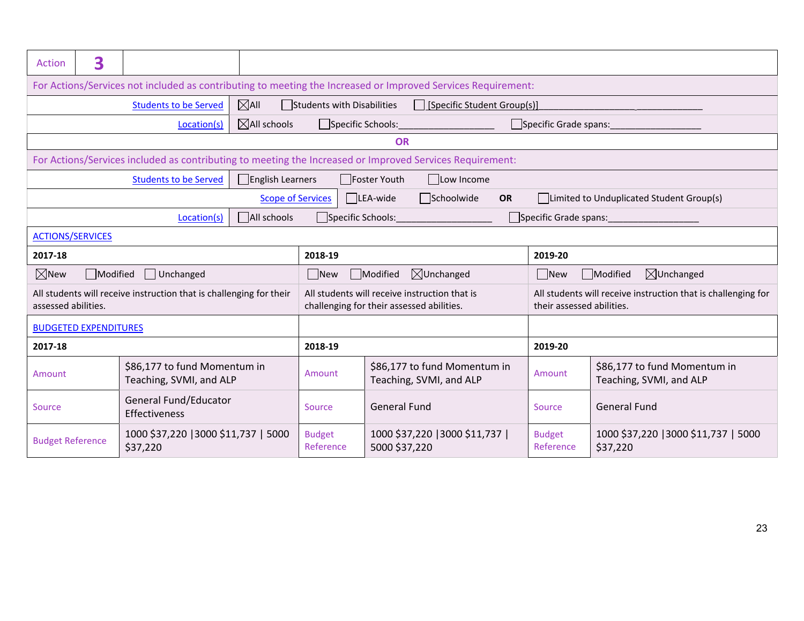|                                                  | 3                                                                                                        |                                                                                                              |                          |                                                                                            |                                  |                                                         |                     |                                                                                            |                                                         |
|--------------------------------------------------|----------------------------------------------------------------------------------------------------------|--------------------------------------------------------------------------------------------------------------|--------------------------|--------------------------------------------------------------------------------------------|----------------------------------|---------------------------------------------------------|---------------------|--------------------------------------------------------------------------------------------|---------------------------------------------------------|
| <b>Action</b>                                    |                                                                                                          |                                                                                                              |                          |                                                                                            |                                  |                                                         |                     |                                                                                            |                                                         |
|                                                  |                                                                                                          | For Actions/Services not included as contributing to meeting the Increased or Improved Services Requirement: |                          |                                                                                            |                                  |                                                         |                     |                                                                                            |                                                         |
|                                                  |                                                                                                          | <b>Students to be Served</b>                                                                                 | $\boxtimes$ All          | Students with Disabilities                                                                 |                                  | □ [Specific Student Group(s)]                           |                     |                                                                                            |                                                         |
|                                                  |                                                                                                          | Location(s)                                                                                                  | $\boxtimes$ All schools  |                                                                                            | Specific Schools:_______________ |                                                         |                     | Specific Grade spans:                                                                      |                                                         |
| <b>OR</b>                                        |                                                                                                          |                                                                                                              |                          |                                                                                            |                                  |                                                         |                     |                                                                                            |                                                         |
|                                                  | For Actions/Services included as contributing to meeting the Increased or Improved Services Requirement: |                                                                                                              |                          |                                                                                            |                                  |                                                         |                     |                                                                                            |                                                         |
|                                                  |                                                                                                          | <b>Students to be Served</b>                                                                                 | English Learners         |                                                                                            | Foster Youth                     | $\Box$ Low Income                                       |                     |                                                                                            |                                                         |
|                                                  |                                                                                                          |                                                                                                              | <b>Scope of Services</b> |                                                                                            | $\Box$ LEA-wide                  | $\Box$ Schoolwide                                       | <b>OR</b>           |                                                                                            | Limited to Unduplicated Student Group(s)                |
|                                                  |                                                                                                          | Location(s)                                                                                                  | All schools              |                                                                                            |                                  | Specific Schools:______________________                 |                     |                                                                                            |                                                         |
|                                                  | <b>ACTIONS/SERVICES</b>                                                                                  |                                                                                                              |                          |                                                                                            |                                  |                                                         |                     |                                                                                            |                                                         |
| 2017-18                                          |                                                                                                          |                                                                                                              |                          | 2018-19                                                                                    |                                  |                                                         |                     | 2019-20                                                                                    |                                                         |
| $\boxtimes$ New                                  | Modified                                                                                                 | Unchanged                                                                                                    |                          | Modified<br>$\boxtimes$ Unchanged<br>$\Box$ New                                            |                                  |                                                         |                     | $\Box$ New                                                                                 | $\boxtimes$ Unchanged<br>Modified                       |
| assessed abilities.                              |                                                                                                          | All students will receive instruction that is challenging for their                                          |                          | All students will receive instruction that is<br>challenging for their assessed abilities. |                                  |                                                         |                     | All students will receive instruction that is challenging for<br>their assessed abilities. |                                                         |
|                                                  | <b>BUDGETED EXPENDITURES</b>                                                                             |                                                                                                              |                          |                                                                                            |                                  |                                                         |                     |                                                                                            |                                                         |
| 2017-18                                          |                                                                                                          |                                                                                                              |                          | 2018-19                                                                                    |                                  |                                                         |                     | 2019-20                                                                                    |                                                         |
| Amount                                           |                                                                                                          | \$86,177 to fund Momentum in<br>Teaching, SVMI, and ALP                                                      |                          | Amount                                                                                     |                                  | \$86,177 to fund Momentum in<br>Teaching, SVMI, and ALP |                     | Amount                                                                                     | \$86,177 to fund Momentum in<br>Teaching, SVMI, and ALP |
| General Fund/Educator<br>Source<br>Effectiveness |                                                                                                          | Source                                                                                                       |                          | <b>General Fund</b>                                                                        |                                  | Source                                                  | <b>General Fund</b> |                                                                                            |                                                         |
| <b>Budget Reference</b>                          |                                                                                                          | 1000 \$37,220   3000 \$11,737   5000<br>\$37,220                                                             |                          | <b>Budget</b><br>Reference                                                                 |                                  | 1000 \$37,220   3000 \$11,737  <br>5000 \$37,220        |                     | <b>Budget</b><br>Reference                                                                 | 1000 \$37,220   3000 \$11,737   5000<br>\$37,220        |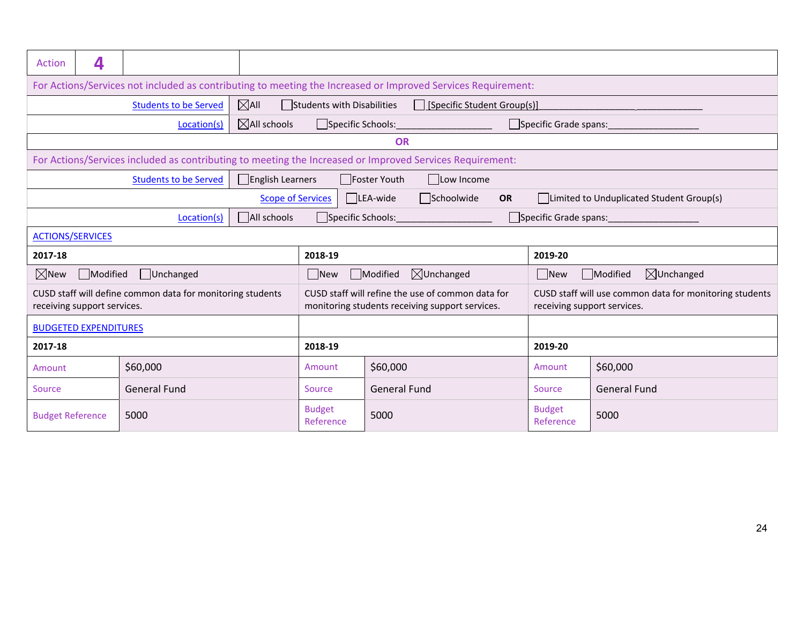| <b>Action</b>                        | 4                                                                                                            |                                                                                                          |                          |                                                                                                      |                     |                                        |           |                                                                                        |                                          |  |
|--------------------------------------|--------------------------------------------------------------------------------------------------------------|----------------------------------------------------------------------------------------------------------|--------------------------|------------------------------------------------------------------------------------------------------|---------------------|----------------------------------------|-----------|----------------------------------------------------------------------------------------|------------------------------------------|--|
|                                      | For Actions/Services not included as contributing to meeting the Increased or Improved Services Requirement: |                                                                                                          |                          |                                                                                                      |                     |                                        |           |                                                                                        |                                          |  |
|                                      |                                                                                                              | <b>Students to be Served</b>                                                                             | $\boxtimes$ All          | Students with Disabilities                                                                           |                     | [Specific Student Group(s)]            |           |                                                                                        |                                          |  |
|                                      |                                                                                                              | Location(s)                                                                                              | $\boxtimes$ All schools  |                                                                                                      |                     | Specific Schools:_____________________ |           |                                                                                        | Specific Grade spans:                    |  |
|                                      |                                                                                                              |                                                                                                          |                          |                                                                                                      | OR                  |                                        |           |                                                                                        |                                          |  |
|                                      |                                                                                                              | For Actions/Services included as contributing to meeting the Increased or Improved Services Requirement: |                          |                                                                                                      |                     |                                        |           |                                                                                        |                                          |  |
|                                      |                                                                                                              | <b>Students to be Served</b>                                                                             | $\Box$ English Learners  |                                                                                                      | Foster Youth        | Low Income                             |           |                                                                                        |                                          |  |
|                                      |                                                                                                              |                                                                                                          | <b>Scope of Services</b> |                                                                                                      | LEA-wide            | Schoolwide                             | <b>OR</b> |                                                                                        | Limited to Unduplicated Student Group(s) |  |
|                                      |                                                                                                              | Location(s)                                                                                              | All schools              | Specific Schools:                                                                                    |                     |                                        |           | Specific Grade spans:                                                                  |                                          |  |
| <b>ACTIONS/SERVICES</b>              |                                                                                                              |                                                                                                          |                          |                                                                                                      |                     |                                        |           |                                                                                        |                                          |  |
| 2017-18                              |                                                                                                              |                                                                                                          |                          | 2018-19                                                                                              |                     |                                        |           | 2019-20                                                                                |                                          |  |
| $\boxtimes$ New                      | Modified                                                                                                     | Unchanged                                                                                                |                          | $\boxtimes$ Unchanged<br>Modified<br>$\Box$ New                                                      |                     |                                        |           | $\Box$ New                                                                             | $\boxtimes$ Unchanged<br>Modified        |  |
|                                      | receiving support services.                                                                                  | CUSD staff will define common data for monitoring students                                               |                          | CUSD staff will refine the use of common data for<br>monitoring students receiving support services. |                     |                                        |           | CUSD staff will use common data for monitoring students<br>receiving support services. |                                          |  |
|                                      | <b>BUDGETED EXPENDITURES</b>                                                                                 |                                                                                                          |                          |                                                                                                      |                     |                                        |           |                                                                                        |                                          |  |
| 2017-18                              |                                                                                                              |                                                                                                          |                          | 2018-19                                                                                              |                     |                                        |           | 2019-20                                                                                |                                          |  |
| \$60,000<br>Amount                   |                                                                                                              |                                                                                                          | Amount                   | \$60,000                                                                                             |                     |                                        | Amount    | \$60,000                                                                               |                                          |  |
| <b>General Fund</b><br><b>Source</b> |                                                                                                              |                                                                                                          |                          | Source                                                                                               | <b>General Fund</b> |                                        |           | <b>Source</b>                                                                          | <b>General Fund</b>                      |  |
| <b>Budget Reference</b>              |                                                                                                              | 5000                                                                                                     |                          | <b>Budget</b><br>Reference                                                                           | 5000                |                                        |           | <b>Budget</b><br>Reference                                                             | 5000                                     |  |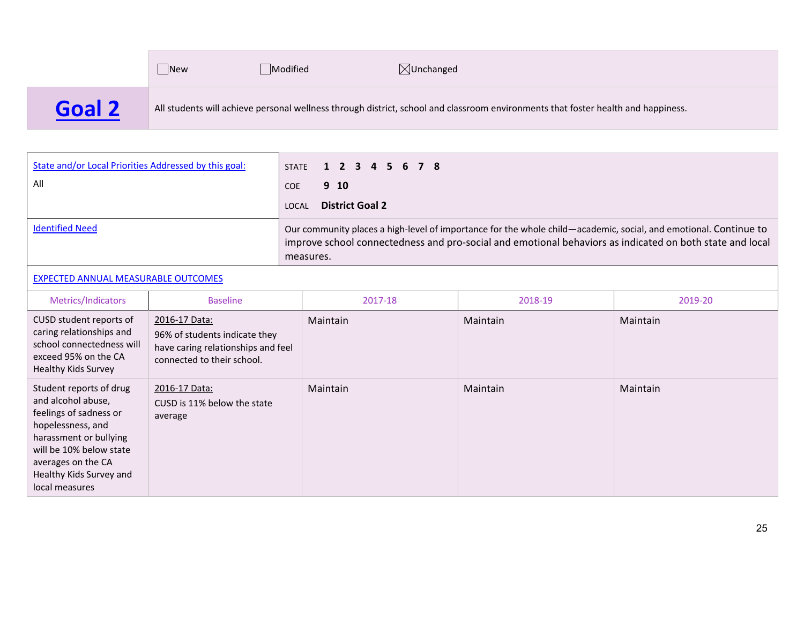New $\Box$ Modified  $\boxtimes$ Unchanged **Goal 2**All students will achieve personal wellness through district, school and classroom environments that foster health and happiness.

| State and/or Local Priorities Addressed by this goal: | STATE 1 2 3 4 5 6 7 8                                                                                                                                                                                                                     |
|-------------------------------------------------------|-------------------------------------------------------------------------------------------------------------------------------------------------------------------------------------------------------------------------------------------|
| All                                                   | 9 10<br><b>COE</b>                                                                                                                                                                                                                        |
|                                                       | <b>District Goal 2</b><br>LOCAL                                                                                                                                                                                                           |
| <b>Identified Need</b>                                | Our community places a high-level of importance for the whole child—academic, social, and emotional. Continue to<br>improve school connectedness and pro-social and emotional behaviors as indicated on both state and local<br>measures. |

#### EXPECTED ANNUAL MEASURABLE OUTCOMES

| Metrics/Indicators                                                                                                                                                                                                   | <b>Baseline</b>                                                                                                    | 2017-18  | 2018-19  | 2019-20  |
|----------------------------------------------------------------------------------------------------------------------------------------------------------------------------------------------------------------------|--------------------------------------------------------------------------------------------------------------------|----------|----------|----------|
| CUSD student reports of<br>caring relationships and<br>school connectedness will<br>exceed 95% on the CA<br>Healthy Kids Survey                                                                                      | 2016-17 Data:<br>96% of students indicate they<br>have caring relationships and feel<br>connected to their school. | Maintain | Maintain | Maintain |
| Student reports of drug<br>and alcohol abuse,<br>feelings of sadness or<br>hopelessness, and<br>harassment or bullying<br>will be 10% below state<br>averages on the CA<br>Healthy Kids Survey and<br>local measures | 2016-17 Data:<br>CUSD is 11% below the state<br>average                                                            | Maintain | Maintain | Maintain |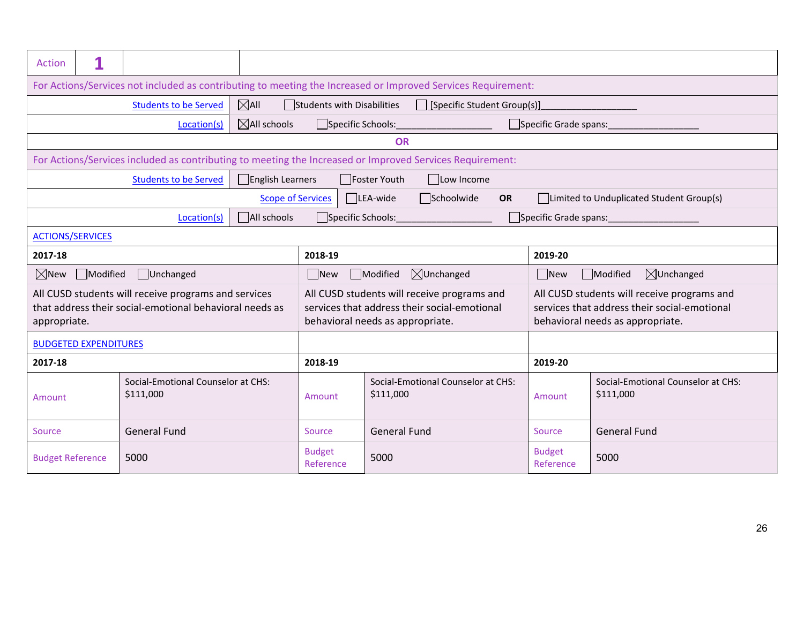| Action                                                                                                       |                                                                                                                |                                                                                                                 |                                                 |                                                                                                                                 |                                                              |            |                                                 |                                                                                                                                 |                                          |  |
|--------------------------------------------------------------------------------------------------------------|----------------------------------------------------------------------------------------------------------------|-----------------------------------------------------------------------------------------------------------------|-------------------------------------------------|---------------------------------------------------------------------------------------------------------------------------------|--------------------------------------------------------------|------------|-------------------------------------------------|---------------------------------------------------------------------------------------------------------------------------------|------------------------------------------|--|
| For Actions/Services not included as contributing to meeting the Increased or Improved Services Requirement: |                                                                                                                |                                                                                                                 |                                                 |                                                                                                                                 |                                                              |            |                                                 |                                                                                                                                 |                                          |  |
|                                                                                                              | $\boxtimes$ All<br>Students with Disabilities<br>□ [Specific Student Group(s)]<br><b>Students to be Served</b> |                                                                                                                 |                                                 |                                                                                                                                 |                                                              |            |                                                 |                                                                                                                                 |                                          |  |
| $\boxtimes$ All schools<br>Specific Grade spans:<br>Location(s)                                              |                                                                                                                |                                                                                                                 |                                                 |                                                                                                                                 |                                                              |            |                                                 |                                                                                                                                 |                                          |  |
|                                                                                                              | <b>OR</b>                                                                                                      |                                                                                                                 |                                                 |                                                                                                                                 |                                                              |            |                                                 |                                                                                                                                 |                                          |  |
|                                                                                                              |                                                                                                                | For Actions/Services included as contributing to meeting the Increased or Improved Services Requirement:        |                                                 |                                                                                                                                 |                                                              |            |                                                 |                                                                                                                                 |                                          |  |
|                                                                                                              |                                                                                                                | <b>Students to be Served</b>                                                                                    | English Learners                                |                                                                                                                                 | Foster Youth                                                 | Low Income |                                                 |                                                                                                                                 |                                          |  |
|                                                                                                              |                                                                                                                |                                                                                                                 | <b>Scope of Services</b>                        |                                                                                                                                 | $\Box$ LEA-wide<br>Schoolwide                                | <b>OR</b>  |                                                 |                                                                                                                                 | Limited to Unduplicated Student Group(s) |  |
|                                                                                                              |                                                                                                                | Location(s)                                                                                                     | All schools                                     |                                                                                                                                 | Specific Schools: Experience of the Second Specific Schools: |            |                                                 |                                                                                                                                 |                                          |  |
|                                                                                                              | <b>ACTIONS/SERVICES</b>                                                                                        |                                                                                                                 |                                                 |                                                                                                                                 |                                                              |            |                                                 |                                                                                                                                 |                                          |  |
| 2017-18                                                                                                      |                                                                                                                |                                                                                                                 |                                                 | 2018-19                                                                                                                         |                                                              |            |                                                 | 2019-20                                                                                                                         |                                          |  |
| $\boxtimes$ New                                                                                              | Modified                                                                                                       | □Unchanged                                                                                                      |                                                 | $\boxtimes$ Unchanged<br>$\Box$ New<br>Modified                                                                                 |                                                              |            |                                                 | $\Box$ New<br>Modified<br>$\boxtimes$ Unchanged                                                                                 |                                          |  |
| appropriate.                                                                                                 |                                                                                                                | All CUSD students will receive programs and services<br>that address their social-emotional behavioral needs as |                                                 | All CUSD students will receive programs and<br>services that address their social-emotional<br>behavioral needs as appropriate. |                                                              |            |                                                 | All CUSD students will receive programs and<br>services that address their social-emotional<br>behavioral needs as appropriate. |                                          |  |
|                                                                                                              | <b>BUDGETED EXPENDITURES</b>                                                                                   |                                                                                                                 |                                                 |                                                                                                                                 |                                                              |            |                                                 |                                                                                                                                 |                                          |  |
| 2017-18                                                                                                      |                                                                                                                |                                                                                                                 |                                                 | 2018-19                                                                                                                         |                                                              |            |                                                 | 2019-20                                                                                                                         |                                          |  |
| Social-Emotional Counselor at CHS:<br>\$111,000<br>Amount                                                    |                                                                                                                | Amount                                                                                                          | Social-Emotional Counselor at CHS:<br>\$111,000 |                                                                                                                                 | Amount                                                       |            | Social-Emotional Counselor at CHS:<br>\$111,000 |                                                                                                                                 |                                          |  |
| <b>General Fund</b><br>Source                                                                                |                                                                                                                |                                                                                                                 | Source                                          | <b>General Fund</b>                                                                                                             |                                                              | Source     |                                                 | <b>General Fund</b>                                                                                                             |                                          |  |
| <b>Budget Reference</b>                                                                                      |                                                                                                                | 5000                                                                                                            |                                                 | <b>Budget</b><br>Reference                                                                                                      | 5000                                                         |            | <b>Budget</b><br>Reference                      |                                                                                                                                 | 5000                                     |  |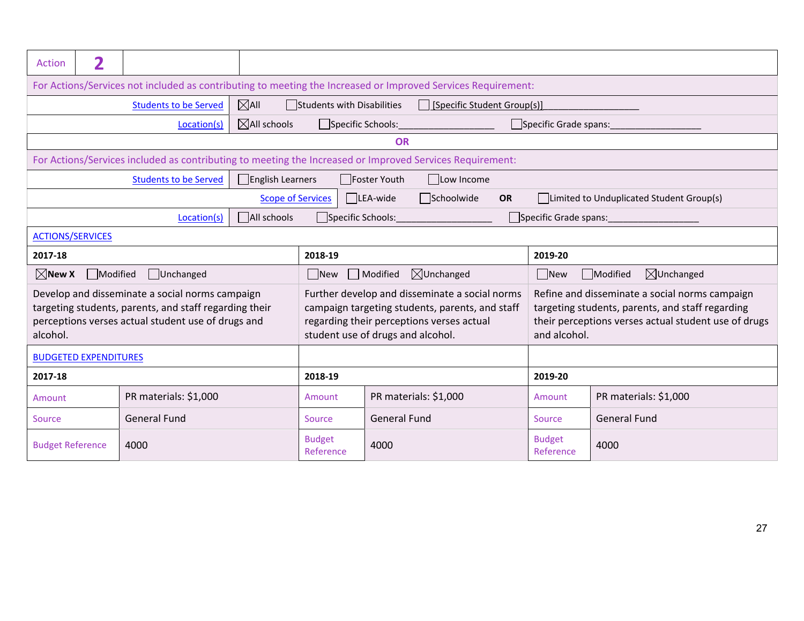| Action                                                                                                                                                                      | $\overline{\mathbf{2}}$                                                                                      |                                                                                                          |                          |                                                  |              |                                                                                                                                                |           |                            |                                                                                                                                                            |  |
|-----------------------------------------------------------------------------------------------------------------------------------------------------------------------------|--------------------------------------------------------------------------------------------------------------|----------------------------------------------------------------------------------------------------------|--------------------------|--------------------------------------------------|--------------|------------------------------------------------------------------------------------------------------------------------------------------------|-----------|----------------------------|------------------------------------------------------------------------------------------------------------------------------------------------------------|--|
|                                                                                                                                                                             | For Actions/Services not included as contributing to meeting the Increased or Improved Services Requirement: |                                                                                                          |                          |                                                  |              |                                                                                                                                                |           |                            |                                                                                                                                                            |  |
| $\boxtimes$ All<br><b>Students to be Served</b><br>Students with Disabilities<br>[Specific Student Group(s)]<br>$\mathbf{L}$                                                |                                                                                                              |                                                                                                          |                          |                                                  |              |                                                                                                                                                |           |                            |                                                                                                                                                            |  |
|                                                                                                                                                                             |                                                                                                              | Location(s)                                                                                              | $\boxtimes$ All schools  |                                                  |              | Specific Schools:                                                                                                                              |           | Specific Grade spans:      |                                                                                                                                                            |  |
|                                                                                                                                                                             |                                                                                                              |                                                                                                          |                          |                                                  | <b>OR</b>    |                                                                                                                                                |           |                            |                                                                                                                                                            |  |
|                                                                                                                                                                             |                                                                                                              | For Actions/Services included as contributing to meeting the Increased or Improved Services Requirement: |                          |                                                  |              |                                                                                                                                                |           |                            |                                                                                                                                                            |  |
|                                                                                                                                                                             |                                                                                                              | <b>Students to be Served</b>                                                                             | English Learners         |                                                  | Foster Youth | Low Income                                                                                                                                     |           |                            |                                                                                                                                                            |  |
|                                                                                                                                                                             |                                                                                                              |                                                                                                          | <b>Scope of Services</b> |                                                  | LEA-wide     | Schoolwide                                                                                                                                     | <b>OR</b> |                            | Limited to Unduplicated Student Group(s)                                                                                                                   |  |
|                                                                                                                                                                             |                                                                                                              | Location(s)                                                                                              | All schools              | Specific Schools:                                |              |                                                                                                                                                |           |                            |                                                                                                                                                            |  |
| <b>ACTIONS/SERVICES</b>                                                                                                                                                     |                                                                                                              |                                                                                                          |                          |                                                  |              |                                                                                                                                                |           |                            |                                                                                                                                                            |  |
| 2017-18                                                                                                                                                                     |                                                                                                              |                                                                                                          |                          | 2018-19                                          |              |                                                                                                                                                |           | 2019-20                    |                                                                                                                                                            |  |
| $\boxtimes$ New X                                                                                                                                                           | Modified                                                                                                     | Unchanged                                                                                                |                          | $\boxtimes$ Unchanged<br>Modified<br>$\vert$ New |              |                                                                                                                                                |           | $\Box$ New                 | $\boxtimes$ Unchanged<br>Modified                                                                                                                          |  |
| Develop and disseminate a social norms campaign<br>targeting students, parents, and staff regarding their<br>perceptions verses actual student use of drugs and<br>alcohol. |                                                                                                              |                                                                                                          |                          | student use of drugs and alcohol.                |              | Further develop and disseminate a social norms<br>campaign targeting students, parents, and staff<br>regarding their perceptions verses actual |           | and alcohol.               | Refine and disseminate a social norms campaign<br>targeting students, parents, and staff regarding<br>their perceptions verses actual student use of drugs |  |
|                                                                                                                                                                             | <b>BUDGETED EXPENDITURES</b>                                                                                 |                                                                                                          |                          |                                                  |              |                                                                                                                                                |           |                            |                                                                                                                                                            |  |
| 2017-18                                                                                                                                                                     |                                                                                                              |                                                                                                          | 2018-19                  |                                                  |              |                                                                                                                                                | 2019-20   |                            |                                                                                                                                                            |  |
| Amount                                                                                                                                                                      |                                                                                                              | PR materials: \$1,000                                                                                    |                          | Amount                                           |              | PR materials: \$1,000                                                                                                                          |           | Amount                     | PR materials: \$1,000                                                                                                                                      |  |
| <b>General Fund</b><br>Source                                                                                                                                               |                                                                                                              |                                                                                                          | Source                   | <b>General Fund</b>                              |              |                                                                                                                                                | Source    | <b>General Fund</b>        |                                                                                                                                                            |  |
| <b>Budget Reference</b>                                                                                                                                                     |                                                                                                              | 4000                                                                                                     |                          | <b>Budget</b><br>Reference                       | 4000         |                                                                                                                                                |           | <b>Budget</b><br>Reference | 4000                                                                                                                                                       |  |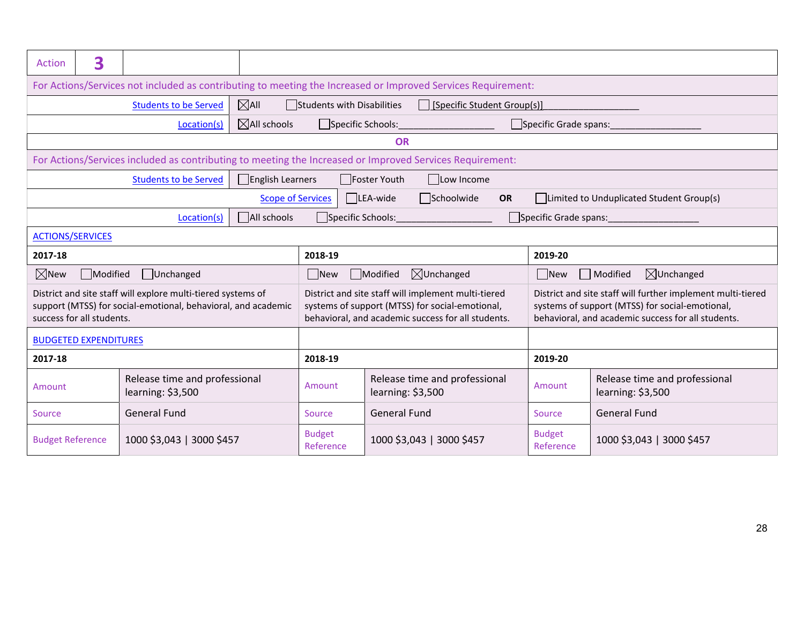| Action                                                       | 3                                                                                                            |                                                                                                                               |                          |                                                                                                                                                                                                                                                                                                                                      |                                                                                                          |                                                    |                                          |  |  |  |
|--------------------------------------------------------------|--------------------------------------------------------------------------------------------------------------|-------------------------------------------------------------------------------------------------------------------------------|--------------------------|--------------------------------------------------------------------------------------------------------------------------------------------------------------------------------------------------------------------------------------------------------------------------------------------------------------------------------------|----------------------------------------------------------------------------------------------------------|----------------------------------------------------|------------------------------------------|--|--|--|
|                                                              | For Actions/Services not included as contributing to meeting the Increased or Improved Services Requirement: |                                                                                                                               |                          |                                                                                                                                                                                                                                                                                                                                      |                                                                                                          |                                                    |                                          |  |  |  |
|                                                              | $\boxtimes$ All<br><b>Students to be Served</b><br>Students with Disabilities<br>[Specific Student Group(s)] |                                                                                                                               |                          |                                                                                                                                                                                                                                                                                                                                      |                                                                                                          |                                                    |                                          |  |  |  |
|                                                              | $\boxtimes$ All schools<br>Specific Schools: Specific Schools:<br>Specific Grade spans:<br>Location(s)       |                                                                                                                               |                          |                                                                                                                                                                                                                                                                                                                                      |                                                                                                          |                                                    |                                          |  |  |  |
|                                                              |                                                                                                              |                                                                                                                               |                          |                                                                                                                                                                                                                                                                                                                                      | <b>OR</b>                                                                                                |                                                    |                                          |  |  |  |
|                                                              |                                                                                                              |                                                                                                                               |                          |                                                                                                                                                                                                                                                                                                                                      | For Actions/Services included as contributing to meeting the Increased or Improved Services Requirement: |                                                    |                                          |  |  |  |
|                                                              |                                                                                                              | <b>Students to be Served</b>                                                                                                  | <b>English Learners</b>  |                                                                                                                                                                                                                                                                                                                                      | Foster Youth<br>Low Income                                                                               |                                                    |                                          |  |  |  |
|                                                              |                                                                                                              |                                                                                                                               | <b>Scope of Services</b> |                                                                                                                                                                                                                                                                                                                                      | Schoolwide<br>$\Box$ LEA-wide<br>OR                                                                      |                                                    | Limited to Unduplicated Student Group(s) |  |  |  |
|                                                              |                                                                                                              | Location(s)                                                                                                                   | All schools              | Specific Schools:                                                                                                                                                                                                                                                                                                                    |                                                                                                          | Specific Grade spans:                              |                                          |  |  |  |
| <b>ACTIONS/SERVICES</b>                                      |                                                                                                              |                                                                                                                               |                          |                                                                                                                                                                                                                                                                                                                                      |                                                                                                          |                                                    |                                          |  |  |  |
| 2017-18                                                      |                                                                                                              |                                                                                                                               |                          | 2018-19                                                                                                                                                                                                                                                                                                                              |                                                                                                          | 2019-20                                            |                                          |  |  |  |
| $\boxtimes$ New                                              | Modified                                                                                                     | Unchanged                                                                                                                     |                          | $\Box$ New                                                                                                                                                                                                                                                                                                                           | Modified<br>$\boxtimes$ Unchanged                                                                        | $\Box$ New                                         | $\Box$ Modified<br>$\boxtimes$ Unchanged |  |  |  |
|                                                              | success for all students.                                                                                    | District and site staff will explore multi-tiered systems of<br>support (MTSS) for social-emotional, behavioral, and academic |                          | District and site staff will implement multi-tiered<br>District and site staff will further implement multi-tiered<br>systems of support (MTSS) for social-emotional,<br>systems of support (MTSS) for social-emotional,<br>behavioral, and academic success for all students.<br>behavioral, and academic success for all students. |                                                                                                          |                                                    |                                          |  |  |  |
|                                                              | <b>BUDGETED EXPENDITURES</b>                                                                                 |                                                                                                                               |                          |                                                                                                                                                                                                                                                                                                                                      |                                                                                                          |                                                    |                                          |  |  |  |
| 2019-20<br>2017-18<br>2018-19                                |                                                                                                              |                                                                                                                               |                          |                                                                                                                                                                                                                                                                                                                                      |                                                                                                          |                                                    |                                          |  |  |  |
| Release time and professional<br>Amount<br>learning: \$3,500 |                                                                                                              |                                                                                                                               | Amount                   | Release time and professional<br>learning: \$3,500                                                                                                                                                                                                                                                                                   | Amount                                                                                                   | Release time and professional<br>learning: \$3,500 |                                          |  |  |  |
| <b>General Fund</b><br>Source                                |                                                                                                              |                                                                                                                               |                          | Source                                                                                                                                                                                                                                                                                                                               | <b>General Fund</b>                                                                                      | Source                                             | <b>General Fund</b>                      |  |  |  |
| <b>Budget Reference</b>                                      |                                                                                                              | 1000 \$3,043   3000 \$457                                                                                                     |                          | <b>Budget</b><br>Reference                                                                                                                                                                                                                                                                                                           | 1000 \$3,043   3000 \$457                                                                                | <b>Budget</b><br>Reference                         | 1000 \$3,043   3000 \$457                |  |  |  |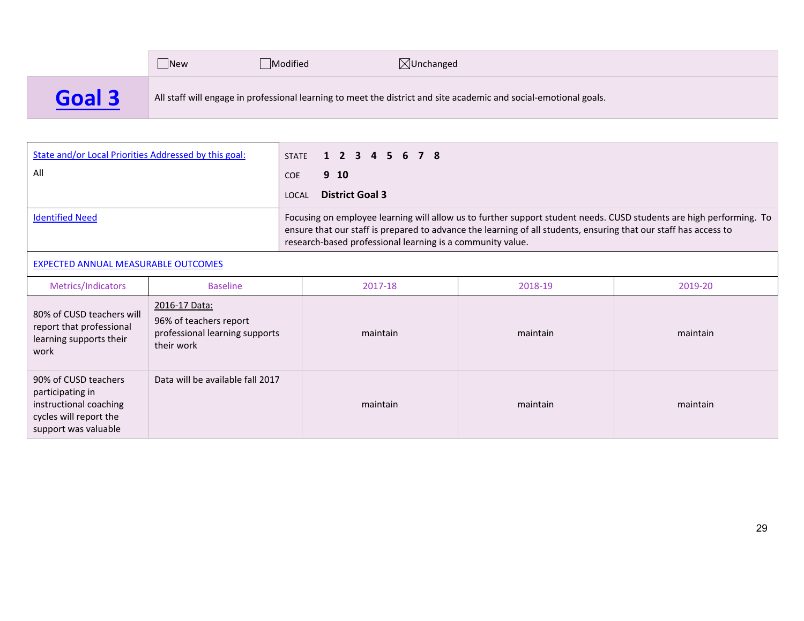|        | New | Modified | $\boxtimes$ Unchanged                                                                                             |
|--------|-----|----------|-------------------------------------------------------------------------------------------------------------------|
| Goal 3 |     |          | All staff will engage in professional learning to meet the district and site academic and social-emotional goals. |

| State and/or Local Priorities Addressed by this goal:<br>All | STATE 1 2 3 4 5 6 7 8<br>9 10<br><b>COE</b><br><b>District Goal 3</b><br>LOCAL                                                                                                                                                                                                                        |
|--------------------------------------------------------------|-------------------------------------------------------------------------------------------------------------------------------------------------------------------------------------------------------------------------------------------------------------------------------------------------------|
| <b>Identified Need</b>                                       | Focusing on employee learning will allow us to further support student needs. CUSD students are high performing. To<br>ensure that our staff is prepared to advance the learning of all students, ensuring that our staff has access to<br>research-based professional learning is a community value. |

#### EXPECTED ANNUAL MEASURABLE OUTCOMES

| Metrics/Indicators                                                                                                   | <b>Baseline</b>                                                                         | 2017-18  | 2018-19  | 2019-20  |
|----------------------------------------------------------------------------------------------------------------------|-----------------------------------------------------------------------------------------|----------|----------|----------|
| 80% of CUSD teachers will<br>report that professional<br>learning supports their<br>work                             | 2016-17 Data:<br>96% of teachers report<br>professional learning supports<br>their work | maintain | maintain | maintain |
| 90% of CUSD teachers<br>participating in<br>instructional coaching<br>cycles will report the<br>support was valuable | Data will be available fall 2017                                                        | maintain | maintain | maintain |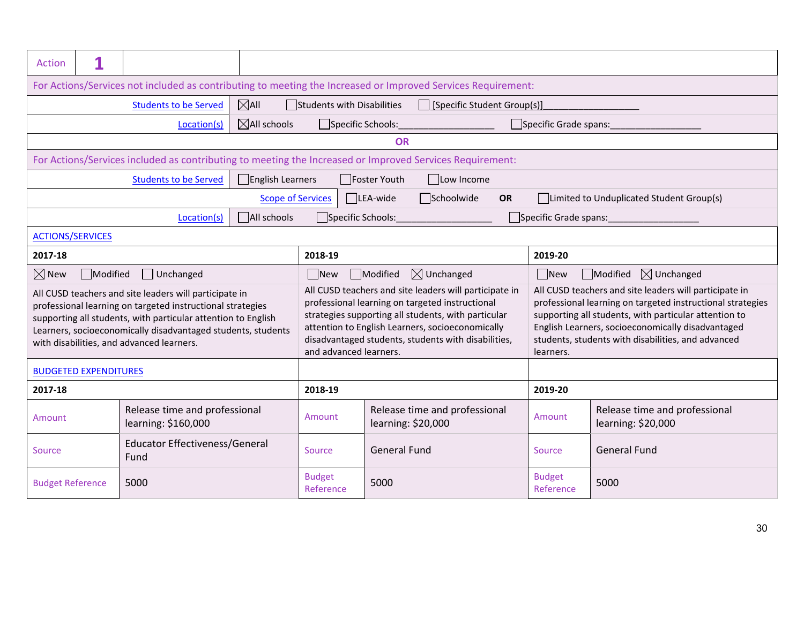| Action                                                                                                       |                                                                                                             |                                                                                                                                                                                                                                                                                                    |                                                     |                                                 |                                                                                                                                                                                                                                                                                                                                                                          |                                                     |                                                 |                                                                                                                                                                                                                                    |  |
|--------------------------------------------------------------------------------------------------------------|-------------------------------------------------------------------------------------------------------------|----------------------------------------------------------------------------------------------------------------------------------------------------------------------------------------------------------------------------------------------------------------------------------------------------|-----------------------------------------------------|-------------------------------------------------|--------------------------------------------------------------------------------------------------------------------------------------------------------------------------------------------------------------------------------------------------------------------------------------------------------------------------------------------------------------------------|-----------------------------------------------------|-------------------------------------------------|------------------------------------------------------------------------------------------------------------------------------------------------------------------------------------------------------------------------------------|--|
| For Actions/Services not included as contributing to meeting the Increased or Improved Services Requirement: |                                                                                                             |                                                                                                                                                                                                                                                                                                    |                                                     |                                                 |                                                                                                                                                                                                                                                                                                                                                                          |                                                     |                                                 |                                                                                                                                                                                                                                    |  |
|                                                                                                              | $\boxtimes$ All<br><b>Students to be Served</b><br>Students with Disabilities<br>Specific Student Group(s)] |                                                                                                                                                                                                                                                                                                    |                                                     |                                                 |                                                                                                                                                                                                                                                                                                                                                                          |                                                     |                                                 |                                                                                                                                                                                                                                    |  |
|                                                                                                              | $\boxtimes$ All schools<br>Specific Schools:<br>Specific Grade spans:<br>Location(s)                        |                                                                                                                                                                                                                                                                                                    |                                                     |                                                 |                                                                                                                                                                                                                                                                                                                                                                          |                                                     |                                                 |                                                                                                                                                                                                                                    |  |
|                                                                                                              |                                                                                                             |                                                                                                                                                                                                                                                                                                    |                                                     |                                                 | <b>OR</b>                                                                                                                                                                                                                                                                                                                                                                |                                                     |                                                 |                                                                                                                                                                                                                                    |  |
|                                                                                                              |                                                                                                             |                                                                                                                                                                                                                                                                                                    |                                                     |                                                 | For Actions/Services included as contributing to meeting the Increased or Improved Services Requirement:                                                                                                                                                                                                                                                                 |                                                     |                                                 |                                                                                                                                                                                                                                    |  |
|                                                                                                              |                                                                                                             | <b>Students to be Served</b>                                                                                                                                                                                                                                                                       | $\Box$ English Learners                             |                                                 | Foster Youth<br>Low Income                                                                                                                                                                                                                                                                                                                                               |                                                     |                                                 |                                                                                                                                                                                                                                    |  |
|                                                                                                              |                                                                                                             |                                                                                                                                                                                                                                                                                                    | <b>Scope of Services</b>                            |                                                 | $\Box$ Schoolwide<br>$\Box$ LEA-wide                                                                                                                                                                                                                                                                                                                                     | <b>OR</b>                                           |                                                 | Limited to Unduplicated Student Group(s)                                                                                                                                                                                           |  |
|                                                                                                              |                                                                                                             | Location(s)                                                                                                                                                                                                                                                                                        | All schools                                         | Specific Schools:                               |                                                                                                                                                                                                                                                                                                                                                                          |                                                     | Specific Grade spans:                           |                                                                                                                                                                                                                                    |  |
| <b>ACTIONS/SERVICES</b>                                                                                      |                                                                                                             |                                                                                                                                                                                                                                                                                                    |                                                     |                                                 |                                                                                                                                                                                                                                                                                                                                                                          |                                                     |                                                 |                                                                                                                                                                                                                                    |  |
| 2017-18                                                                                                      |                                                                                                             |                                                                                                                                                                                                                                                                                                    |                                                     | 2018-19                                         |                                                                                                                                                                                                                                                                                                                                                                          |                                                     | 2019-20                                         |                                                                                                                                                                                                                                    |  |
| $\boxtimes$ New                                                                                              | Modified                                                                                                    | Unchanged                                                                                                                                                                                                                                                                                          |                                                     | $\boxtimes$ Unchanged<br>$\Box$ New<br>Modified |                                                                                                                                                                                                                                                                                                                                                                          |                                                     | $\Box$ New<br>Modified<br>$\boxtimes$ Unchanged |                                                                                                                                                                                                                                    |  |
|                                                                                                              |                                                                                                             | All CUSD teachers and site leaders will participate in<br>professional learning on targeted instructional strategies<br>supporting all students, with particular attention to English<br>Learners, socioeconomically disadvantaged students, students<br>with disabilities, and advanced learners. |                                                     |                                                 | All CUSD teachers and site leaders will participate in<br>professional learning on targeted instructional<br>strategies supporting all students, with particular<br>attention to English Learners, socioeconomically<br>disadvantaged students, students with disabilities,<br>students, students with disabilities, and advanced<br>and advanced learners.<br>learners. |                                                     |                                                 | All CUSD teachers and site leaders will participate in<br>professional learning on targeted instructional strategies<br>supporting all students, with particular attention to<br>English Learners, socioeconomically disadvantaged |  |
|                                                                                                              | <b>BUDGETED EXPENDITURES</b>                                                                                |                                                                                                                                                                                                                                                                                                    |                                                     |                                                 |                                                                                                                                                                                                                                                                                                                                                                          |                                                     |                                                 |                                                                                                                                                                                                                                    |  |
| 2017-18<br>2018-19                                                                                           |                                                                                                             |                                                                                                                                                                                                                                                                                                    |                                                     |                                                 |                                                                                                                                                                                                                                                                                                                                                                          |                                                     | 2019-20                                         |                                                                                                                                                                                                                                    |  |
| Release time and professional<br>Amount<br>learning: \$160,000                                               |                                                                                                             | Amount                                                                                                                                                                                                                                                                                             | Release time and professional<br>learning: \$20,000 |                                                 | Amount                                                                                                                                                                                                                                                                                                                                                                   | Release time and professional<br>learning: \$20,000 |                                                 |                                                                                                                                                                                                                                    |  |
| <b>Educator Effectiveness/General</b><br>Source<br>Fund                                                      |                                                                                                             |                                                                                                                                                                                                                                                                                                    | Source                                              | <b>General Fund</b>                             |                                                                                                                                                                                                                                                                                                                                                                          | Source                                              | <b>General Fund</b>                             |                                                                                                                                                                                                                                    |  |
| <b>Budget Reference</b>                                                                                      |                                                                                                             | 5000                                                                                                                                                                                                                                                                                               |                                                     | <b>Budget</b><br>Reference                      | 5000                                                                                                                                                                                                                                                                                                                                                                     |                                                     | <b>Budget</b><br>Reference                      | 5000                                                                                                                                                                                                                               |  |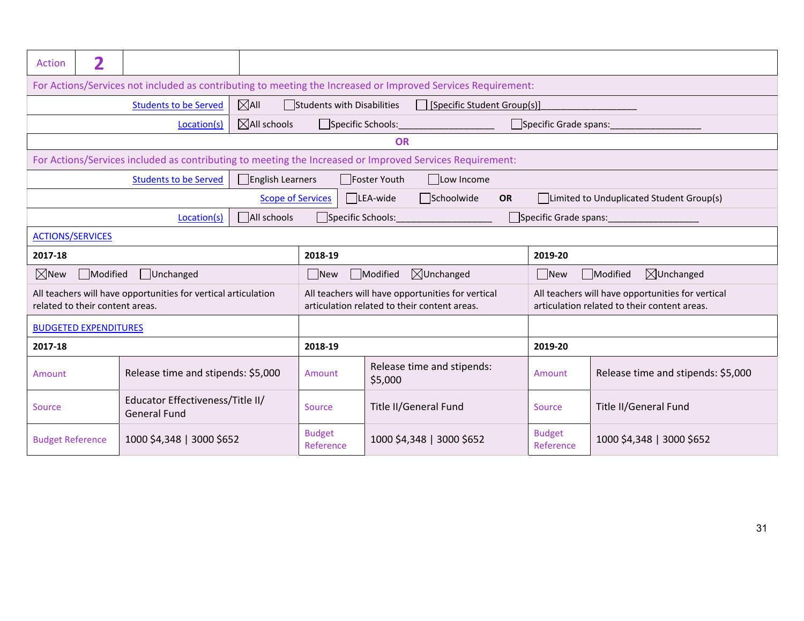| Action                                                                                                     | 2                                                                                                              |                                                                |                          |                                       |                                                                                                          |                                    |                                                                                                   |  |  |  |
|------------------------------------------------------------------------------------------------------------|----------------------------------------------------------------------------------------------------------------|----------------------------------------------------------------|--------------------------|---------------------------------------|----------------------------------------------------------------------------------------------------------|------------------------------------|---------------------------------------------------------------------------------------------------|--|--|--|
|                                                                                                            | For Actions/Services not included as contributing to meeting the Increased or Improved Services Requirement:   |                                                                |                          |                                       |                                                                                                          |                                    |                                                                                                   |  |  |  |
|                                                                                                            | $\boxtimes$ All<br><b>Students to be Served</b><br>Students with Disabilities<br>□ [Specific Student Group(s)] |                                                                |                          |                                       |                                                                                                          |                                    |                                                                                                   |  |  |  |
| $\boxtimes$ All schools<br>Specific Schools: _____________________<br>Specific Grade spans:<br>Location(s) |                                                                                                                |                                                                |                          |                                       |                                                                                                          |                                    |                                                                                                   |  |  |  |
|                                                                                                            | OR                                                                                                             |                                                                |                          |                                       |                                                                                                          |                                    |                                                                                                   |  |  |  |
|                                                                                                            |                                                                                                                |                                                                |                          |                                       | For Actions/Services included as contributing to meeting the Increased or Improved Services Requirement: |                                    |                                                                                                   |  |  |  |
|                                                                                                            |                                                                                                                | <b>Students to be Served</b>                                   | English Learners         |                                       | Foster Youth<br>$\Box$ Low Income                                                                        |                                    |                                                                                                   |  |  |  |
|                                                                                                            |                                                                                                                |                                                                | <b>Scope of Services</b> |                                       | Schoolwide<br>$\Box$ LEA-wide<br>OR                                                                      |                                    | Limited to Unduplicated Student Group(s)                                                          |  |  |  |
|                                                                                                            | All schools<br>Specific Schools: Specific Schools:<br>Specific Grade spans:<br>Location(s)                     |                                                                |                          |                                       |                                                                                                          |                                    |                                                                                                   |  |  |  |
|                                                                                                            | <b>ACTIONS/SERVICES</b>                                                                                        |                                                                |                          |                                       |                                                                                                          |                                    |                                                                                                   |  |  |  |
| 2017-18                                                                                                    |                                                                                                                |                                                                |                          | 2018-19                               |                                                                                                          | 2019-20                            |                                                                                                   |  |  |  |
| $\boxtimes$ New                                                                                            | Modified                                                                                                       | Unchanged                                                      |                          | $\Box$ New                            | Modified<br>$\boxtimes$ Unchanged                                                                        | $\Box$ New                         | Modified<br>$\boxtimes$ Unchanged                                                                 |  |  |  |
|                                                                                                            | related to their content areas.                                                                                | All teachers will have opportunities for vertical articulation |                          |                                       | All teachers will have opportunities for vertical<br>articulation related to their content areas.        |                                    | All teachers will have opportunities for vertical<br>articulation related to their content areas. |  |  |  |
|                                                                                                            | <b>BUDGETED EXPENDITURES</b>                                                                                   |                                                                |                          |                                       |                                                                                                          |                                    |                                                                                                   |  |  |  |
| 2017-18                                                                                                    |                                                                                                                |                                                                |                          | 2018-19                               |                                                                                                          | 2019-20                            |                                                                                                   |  |  |  |
| Release time and stipends: \$5,000<br>Amount                                                               |                                                                                                                |                                                                | Amount                   | Release time and stipends:<br>\$5,000 | Amount                                                                                                   | Release time and stipends: \$5,000 |                                                                                                   |  |  |  |
| Educator Effectiveness/Title II/<br>Source<br><b>General Fund</b>                                          |                                                                                                                |                                                                | Source                   | Title II/General Fund                 | Source                                                                                                   | Title II/General Fund              |                                                                                                   |  |  |  |
| <b>Budget Reference</b>                                                                                    |                                                                                                                | 1000 \$4,348   3000 \$652                                      |                          | <b>Budget</b><br>Reference            | 1000 \$4,348   3000 \$652                                                                                | <b>Budget</b><br>Reference         | 1000 \$4,348   3000 \$652                                                                         |  |  |  |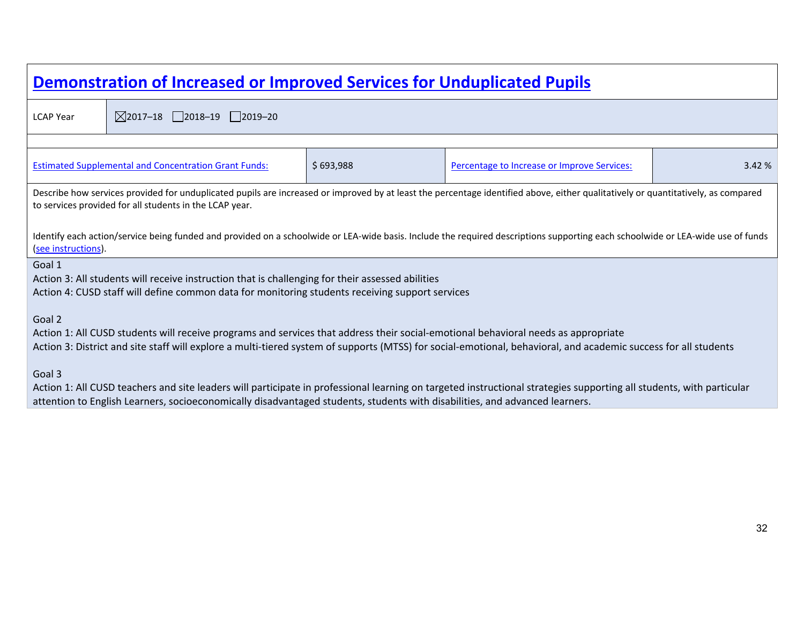| Demonstration of Increased or Improved Services for Unduplicated Pupils                                                                                                                                                                                                                                         |                                                                                                                                                                                                     |           |                                                                                                                                                                                   |        |  |  |  |  |
|-----------------------------------------------------------------------------------------------------------------------------------------------------------------------------------------------------------------------------------------------------------------------------------------------------------------|-----------------------------------------------------------------------------------------------------------------------------------------------------------------------------------------------------|-----------|-----------------------------------------------------------------------------------------------------------------------------------------------------------------------------------|--------|--|--|--|--|
| <b>LCAP Year</b>                                                                                                                                                                                                                                                                                                | $\boxtimes$ 2017-18 2018-19 2019-20                                                                                                                                                                 |           |                                                                                                                                                                                   |        |  |  |  |  |
|                                                                                                                                                                                                                                                                                                                 |                                                                                                                                                                                                     |           |                                                                                                                                                                                   |        |  |  |  |  |
|                                                                                                                                                                                                                                                                                                                 | <b>Estimated Supplemental and Concentration Grant Funds:</b>                                                                                                                                        | \$693,988 | Percentage to Increase or Improve Services:                                                                                                                                       | 3.42 % |  |  |  |  |
|                                                                                                                                                                                                                                                                                                                 | to services provided for all students in the LCAP year.                                                                                                                                             |           | Describe how services provided for unduplicated pupils are increased or improved by at least the percentage identified above, either qualitatively or quantitatively, as compared |        |  |  |  |  |
| (see instructions).                                                                                                                                                                                                                                                                                             |                                                                                                                                                                                                     |           | Identify each action/service being funded and provided on a schoolwide or LEA-wide basis. Include the required descriptions supporting each schoolwide or LEA-wide use of funds   |        |  |  |  |  |
| Goal 1                                                                                                                                                                                                                                                                                                          | Action 3: All students will receive instruction that is challenging for their assessed abilities<br>Action 4: CUSD staff will define common data for monitoring students receiving support services |           |                                                                                                                                                                                   |        |  |  |  |  |
| Goal 2<br>Action 1: All CUSD students will receive programs and services that address their social-emotional behavioral needs as appropriate<br>Action 3: District and site staff will explore a multi-tiered system of supports (MTSS) for social-emotional, behavioral, and academic success for all students |                                                                                                                                                                                                     |           |                                                                                                                                                                                   |        |  |  |  |  |
| Goal 3                                                                                                                                                                                                                                                                                                          | attention to English Learners, socioeconomically disadvantaged students, students with disabilities, and advanced learners.                                                                         |           | Action 1: All CUSD teachers and site leaders will participate in professional learning on targeted instructional strategies supporting all students, with particular              |        |  |  |  |  |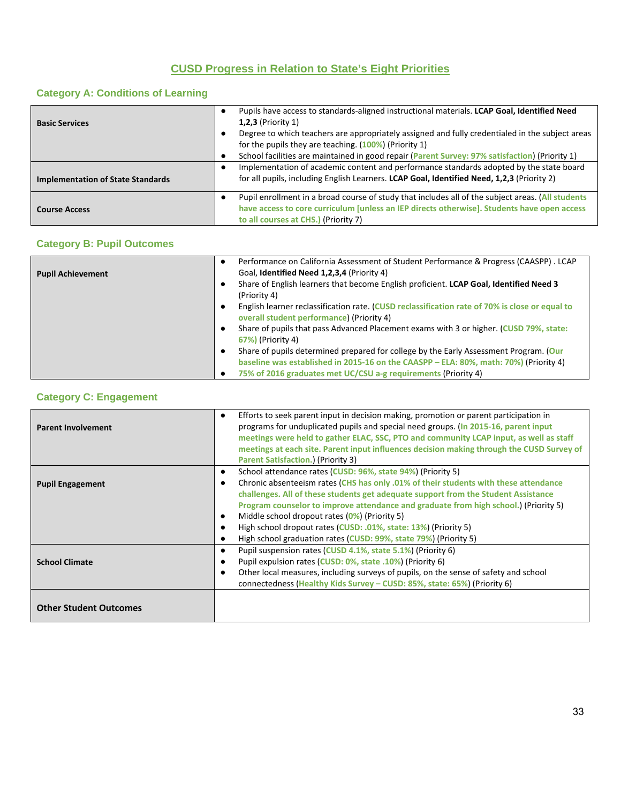# **CUSD Progress in Relation to State's Eight Priorities**

# **Category A: Conditions of Learning**

| <b>Basic Services</b>                    | Pupils have access to standards-aligned instructional materials. LCAP Goal, Identified Need<br>$1,2,3$ (Priority 1)<br>Degree to which teachers are appropriately assigned and fully credentialed in the subject areas<br>for the pupils they are teaching. $(100%)$ (Priority 1)<br>School facilities are maintained in good repair (Parent Survey: 97% satisfaction) (Priority 1) |
|------------------------------------------|-------------------------------------------------------------------------------------------------------------------------------------------------------------------------------------------------------------------------------------------------------------------------------------------------------------------------------------------------------------------------------------|
| <b>Implementation of State Standards</b> | Implementation of academic content and performance standards adopted by the state board<br>for all pupils, including English Learners. LCAP Goal, Identified Need, 1,2,3 (Priority 2)                                                                                                                                                                                               |
| <b>Course Access</b>                     | Pupil enrollment in a broad course of study that includes all of the subject areas. (All students<br>have access to core curriculum [unless an IEP directs otherwise]. Students have open access<br>to all courses at CHS.) (Priority 7)                                                                                                                                            |

# **Category B: Pupil Outcomes**

|                          | Performance on California Assessment of Student Performance & Progress (CAASPP). LCAP                                                       |
|--------------------------|---------------------------------------------------------------------------------------------------------------------------------------------|
| <b>Pupil Achievement</b> | Goal, Identified Need 1,2,3,4 (Priority 4)                                                                                                  |
|                          | Share of English learners that become English proficient. LCAP Goal, Identified Need 3<br>(Priority 4)                                      |
|                          | English learner reclassification rate. (CUSD reclassification rate of 70% is close or equal to<br>overall student performance) (Priority 4) |
|                          | Share of pupils that pass Advanced Placement exams with 3 or higher. (CUSD 79%, state:<br><b>67%)</b> (Priority 4)                          |
|                          | Share of pupils determined prepared for college by the Early Assessment Program. (Our                                                       |
|                          | baseline was established in 2015-16 on the CAASPP - ELA: 80%, math: 70%) (Priority 4)                                                       |
|                          | 75% of 2016 graduates met UC/CSU a-g requirements (Priority 4)                                                                              |

# **Category C: Engagement**

| <b>Parent Involvement</b>     | Efforts to seek parent input in decision making, promotion or parent participation in<br>$\bullet$<br>programs for unduplicated pupils and special need groups. (In 2015-16, parent input<br>meetings were held to gather ELAC, SSC, PTO and community LCAP input, as well as staff<br>meetings at each site. Parent input influences decision making through the CUSD Survey of<br><b>Parent Satisfaction.) (Priority 3)</b> |
|-------------------------------|-------------------------------------------------------------------------------------------------------------------------------------------------------------------------------------------------------------------------------------------------------------------------------------------------------------------------------------------------------------------------------------------------------------------------------|
|                               | School attendance rates (CUSD: 96%, state 94%) (Priority 5)<br>٠                                                                                                                                                                                                                                                                                                                                                              |
| <b>Pupil Engagement</b>       | Chronic absenteeism rates (CHS has only .01% of their students with these attendance<br>challenges. All of these students get adequate support from the Student Assistance<br>Program counselor to improve attendance and graduate from high school.) (Priority 5)<br>Middle school dropout rates (0%) (Priority 5)<br>٠<br>High school dropout rates (CUSD: .01%, state: 13%) (Priority 5)                                   |
|                               | High school graduation rates (CUSD: 99%, state 79%) (Priority 5)<br>c                                                                                                                                                                                                                                                                                                                                                         |
| <b>School Climate</b>         | Pupil suspension rates (CUSD 4.1%, state 5.1%) (Priority 6)<br>٠<br>Pupil expulsion rates (CUSD: 0%, state .10%) (Priority 6)<br>Other local measures, including surveys of pupils, on the sense of safety and school<br>٠<br>connectedness (Healthy Kids Survey - CUSD: 85%, state: 65%) (Priority 6)                                                                                                                        |
| <b>Other Student Outcomes</b> |                                                                                                                                                                                                                                                                                                                                                                                                                               |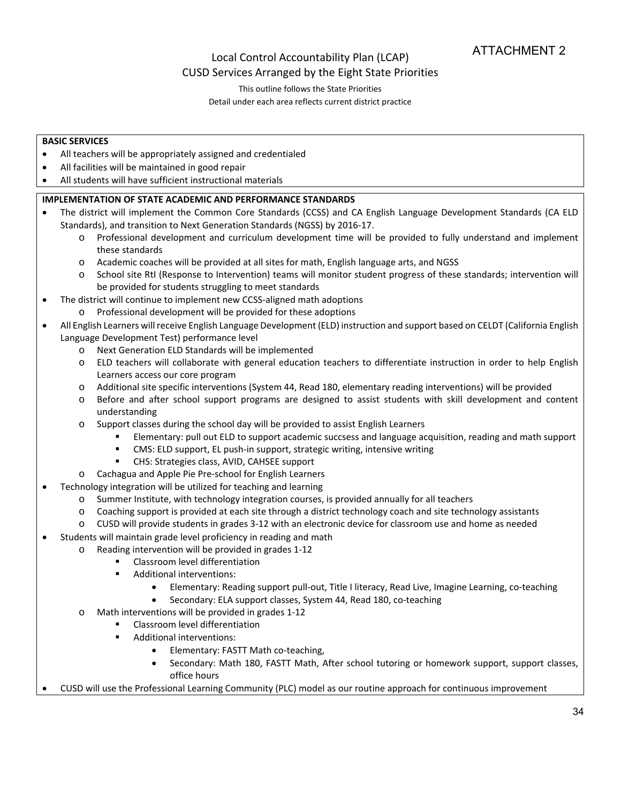# Local Control Accountability Plan (LCAP) CUSD Services Arranged by the Eight State Priorities

This outline follows the State Priorities

Detail under each area reflects current district practice

## **BASIC SERVICES**

- All teachers will be appropriately assigned and credentialed
- All facilities will be maintained in good repair
- All students will have sufficient instructional materials

# **IMPLEMENTATION OF STATE ACADEMIC AND PERFORMANCE STANDARDS**

- The district will implement the Common Core Standards (CCSS) and CA English Language Development Standards (CA ELD Standards), and transition to Next Generation Standards (NGSS) by 2016‐17.
	- o Professional development and curriculum development time will be provided to fully understand and implement these standards
	- o Academic coaches will be provided at all sites for math, English language arts, and NGSS
	- o School site RtI (Response to Intervention) teams will monitor student progress of these standards; intervention will be provided for students struggling to meet standards
- The district will continue to implement new CCSS-aligned math adoptions
	- o Professional development will be provided for these adoptions
- All English Learners willreceive English Language Development (ELD) instruction and support based on CELDT (California English Language Development Test) performance level
	- o Next Generation ELD Standards will be implemented
	- o ELD teachers will collaborate with general education teachers to differentiate instruction in order to help English Learners access our core program
	- o Additional site specific interventions (System 44, Read 180, elementary reading interventions) will be provided
	- o Before and after school support programs are designed to assist students with skill development and content understanding
	- o Support classes during the school day will be provided to assist English Learners
		- Elementary: pull out ELD to support academic succsess and language acquisition, reading and math support
		- CMS: ELD support, EL push-in support, strategic writing, intensive writing
		- CHS: Strategies class, AVID, CAHSEE support
	- o Cachagua and Apple Pie Pre‐school for English Learners
- Technology integration will be utilized for teaching and learning
	- o Summer Institute, with technology integration courses, is provided annually for all teachers
	- o Coaching support is provided at each site through a district technology coach and site technology assistants
	- o CUSD will provide students in grades 3‐12 with an electronic device for classroom use and home as needed
- Students will maintain grade level proficiency in reading and math
	- o Reading intervention will be provided in grades 1‐12
		- **EXEC** Classroom level differentiation
			- **Additional interventions:** 
				- Elementary: Reading support pull-out, Title I literacy, Read Live, Imagine Learning, co-teaching
				- Secondary: ELA support classes, System 44, Read 180, co-teaching
		- o Math interventions will be provided in grades 1‐12
			- Classroom level differentiation
			- Additional interventions:
				- Elementary: FASTT Math co-teaching,
				- Secondary: Math 180, FASTT Math, After school tutoring or homework support, support classes, office hours
- CUSD will use the Professional Learning Community (PLC) model as our routine approach for continuous improvement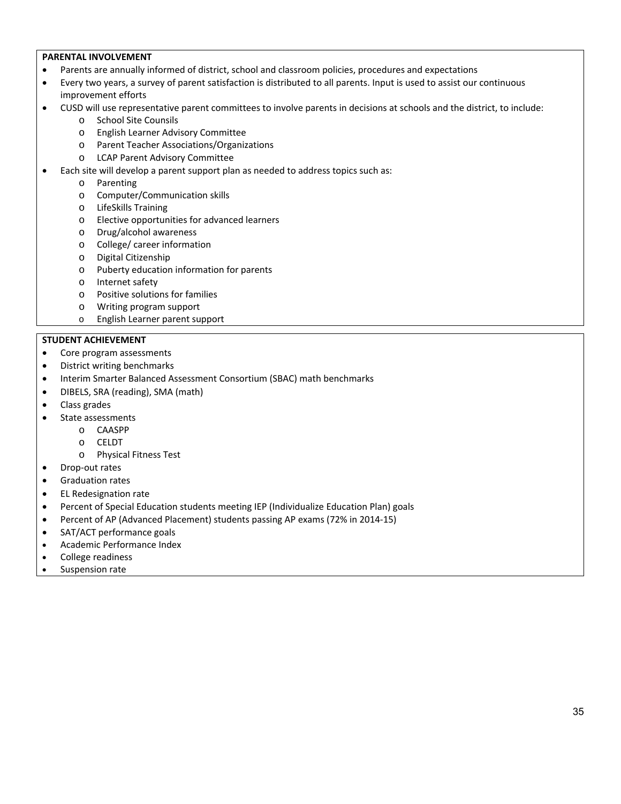### **PARENTAL INVOLVEMENT**

- Parents are annually informed of district, school and classroom policies, procedures and expectations
- Every two years, a survey of parent satisfaction is distributed to all parents. Input is used to assist our continuous improvement efforts
- CUSD will use representative parent committees to involve parents in decisions at schools and the district, to include:
	- o School Site Counsils
	- o English Learner Advisory Committee
	- o Parent Teacher Associations/Organizations
	- o LCAP Parent Advisory Committee
- Each site will develop a parent support plan as needed to address topics such as:
	- o Parenting
	- o Computer/Communication skills
	- o LifeSkills Training
	- o Elective opportunities for advanced learners
	- o Drug/alcohol awareness
	- o College/ career information
	- o Digital Citizenship
	- o Puberty education information for parents
	- o Internet safety
	- o Positive solutions for families
	- o Writing program support
	- o English Learner parent support

## **STUDENT ACHIEVEMENT**

- Core program assessments
- District writing benchmarks
- Interim Smarter Balanced Assessment Consortium (SBAC) math benchmarks
- DIBELS, SRA (reading), SMA (math)
- Class grades
- State assessments
	- o CAASPP
		- o CELDT
		- o Physical Fitness Test
- Drop-out rates
- Graduation rates
- EL Redesignation rate
- Percent of Special Education students meeting IEP (Individualize Education Plan) goals
- Percent of AP (Advanced Placement) students passing AP exams (72% in 2014‐15)
- SAT/ACT performance goals
- Academic Performance Index
- College readiness
- Suspension rate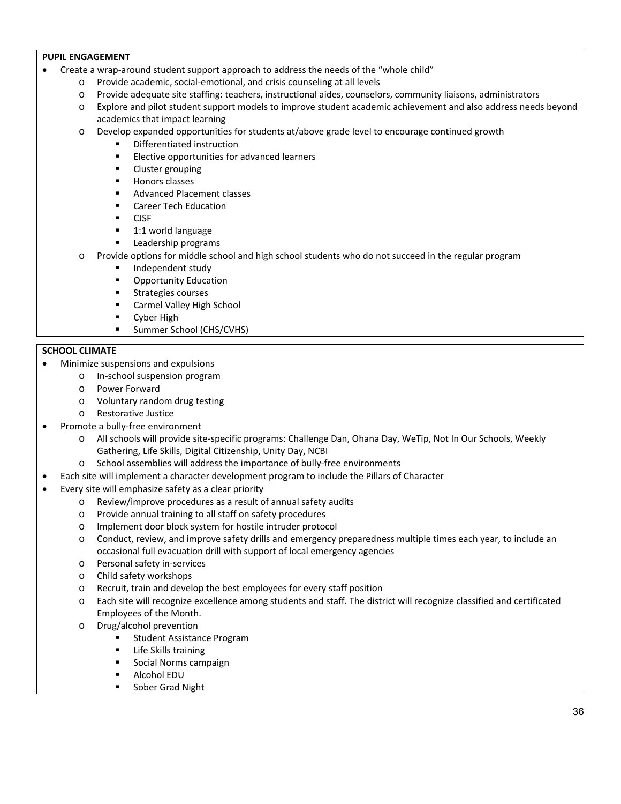### **PUPIL ENGAGEMENT**

- Create a wrap‐around student support approach to address the needs of the "whole child"
	- o Provide academic, social‐emotional, and crisis counseling at all levels
	- o Provide adequate site staffing: teachers, instructional aides, counselors, community liaisons, administrators
	- o Explore and pilot student support models to improve student academic achievement and also address needs beyond academics that impact learning
	- o Develop expanded opportunities for students at/above grade level to encourage continued growth
		- **•** Differentiated instruction
			- **Elective opportunities for advanced learners**
			- **EXECUTE:** Cluster grouping
			- **Honors classes**
			- Advanced Placement classes
			- **EXEC** Career Tech Education
			- $CISE$
			- 1:1 world language
			- **Leadership programs**
	- o Provide options for middle school and high school students who do not succeed in the regular program
		- Independent study
		- **•** Opportunity Education
		- **Strategies courses**
		- Carmel Valley High School
		- **Cyber High**
		- **Summer School (CHS/CVHS)**

#### **SCHOOL CLIMATE**

- Minimize suspensions and expulsions
	- o In‐school suspension program
	- o Power Forward
	- o Voluntary random drug testing
	- o Restorative Justice
	- Promote a bully‐free environment
		- o All schools will provide site‐specific programs: Challenge Dan, Ohana Day, WeTip, Not In Our Schools, Weekly Gathering, Life Skills, Digital Citizenship, Unity Day, NCBI
		- o School assemblies will address the importance of bully‐free environments
- Each site will implement a character development program to include the Pillars of Character
- Every site will emphasize safety as a clear priority
	- o Review/improve procedures as a result of annual safety audits
	- o Provide annual training to all staff on safety procedures
	- o Implement door block system for hostile intruder protocol
	- o Conduct, review, and improve safety drills and emergency preparedness multiple times each year, to include an occasional full evacuation drill with support of local emergency agencies
	- o Personal safety in‐services
	- o Child safety workshops
	- o Recruit, train and develop the best employees for every staff position
	- o Each site will recognize excellence among students and staff. The district will recognize classified and certificated Employees of the Month.
	- o Drug/alcohol prevention
		- Student Assistance Program
		- Life Skills training
		- Social Norms campaign
		- Alcohol EDU
		- **Sober Grad Night**